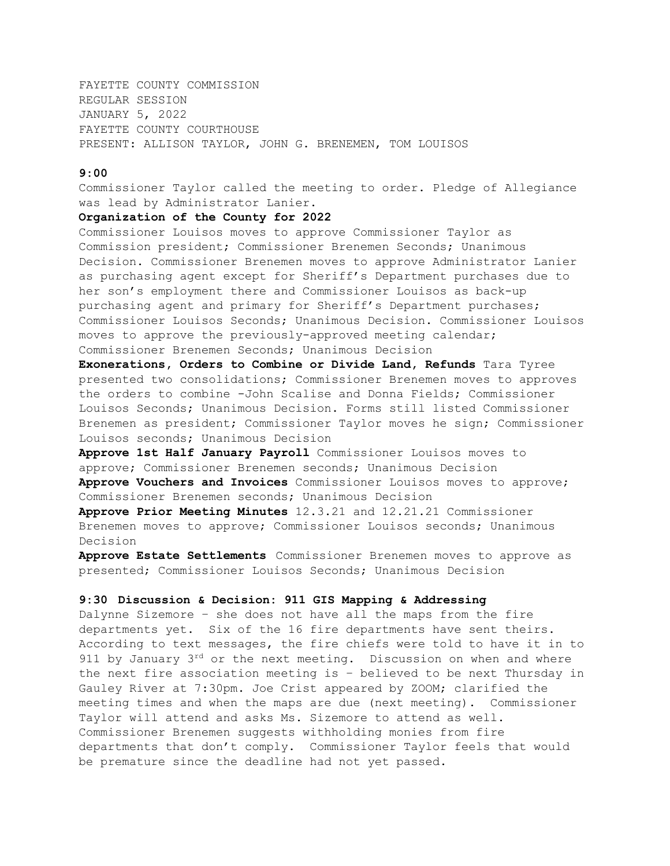FAYETTE COUNTY COMMISSION REGULAR SESSION JANUARY 5, 2022 FAYETTE COUNTY COURTHOUSE PRESENT: ALLISON TAYLOR, JOHN G. BRENEMEN, TOM LOUISOS

### **9:00**

Commissioner Taylor called the meeting to order. Pledge of Allegiance was lead by Administrator Lanier.

### **Organization of the County for 2022**

Commissioner Louisos moves to approve Commissioner Taylor as Commission president; Commissioner Brenemen Seconds; Unanimous Decision. Commissioner Brenemen moves to approve Administrator Lanier as purchasing agent except for Sheriff's Department purchases due to her son's employment there and Commissioner Louisos as back-up purchasing agent and primary for Sheriff's Department purchases; Commissioner Louisos Seconds; Unanimous Decision. Commissioner Louisos moves to approve the previously-approved meeting calendar; Commissioner Brenemen Seconds; Unanimous Decision

**Exonerations, Orders to Combine or Divide Land, Refunds** Tara Tyree presented two consolidations; Commissioner Brenemen moves to approves the orders to combine -John Scalise and Donna Fields; Commissioner Louisos Seconds; Unanimous Decision. Forms still listed Commissioner Brenemen as president; Commissioner Taylor moves he sign; Commissioner Louisos seconds; Unanimous Decision

**Approve 1st Half January Payroll** Commissioner Louisos moves to approve; Commissioner Brenemen seconds; Unanimous Decision **Approve Vouchers and Invoices** Commissioner Louisos moves to approve; Commissioner Brenemen seconds; Unanimous Decision

**Approve Prior Meeting Minutes** 12.3.21 and 12.21.21 Commissioner Brenemen moves to approve; Commissioner Louisos seconds; Unanimous Decision

**Approve Estate Settlements** Commissioner Brenemen moves to approve as presented; Commissioner Louisos Seconds; Unanimous Decision

### **9:30 Discussion & Decision: 911 GIS Mapping & Addressing**

Dalynne Sizemore – she does not have all the maps from the fire departments yet. Six of the 16 fire departments have sent theirs. According to text messages, the fire chiefs were told to have it in to 911 by January  $3^{rd}$  or the next meeting. Discussion on when and where the next fire association meeting is – believed to be next Thursday in Gauley River at 7:30pm. Joe Crist appeared by ZOOM; clarified the meeting times and when the maps are due (next meeting). Commissioner Taylor will attend and asks Ms. Sizemore to attend as well. Commissioner Brenemen suggests withholding monies from fire departments that don't comply. Commissioner Taylor feels that would be premature since the deadline had not yet passed.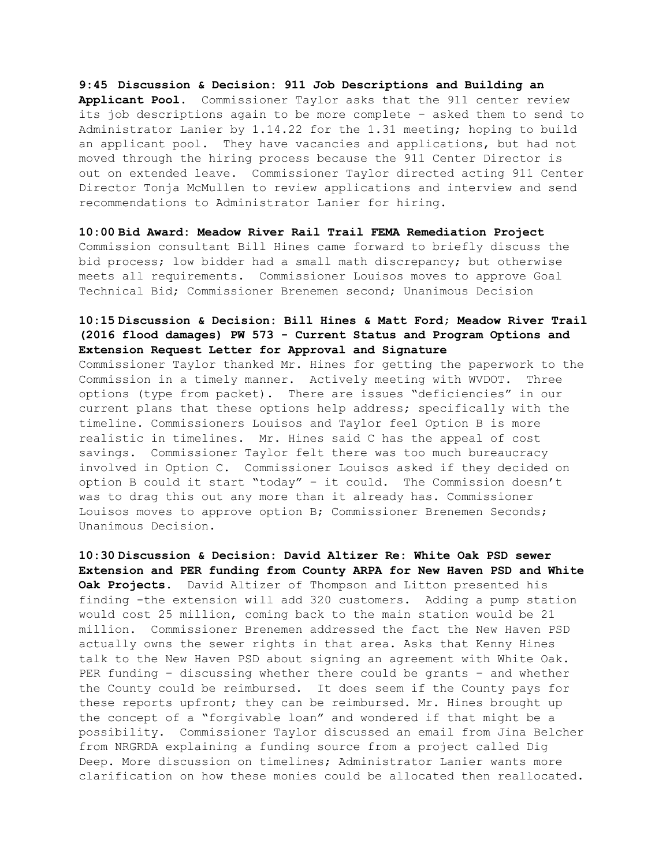### **9:45 Discussion & Decision: 911 Job Descriptions and Building an**

**Applicant Pool.** Commissioner Taylor asks that the 911 center review its job descriptions again to be more complete – asked them to send to Administrator Lanier by 1.14.22 for the 1.31 meeting; hoping to build an applicant pool. They have vacancies and applications, but had not moved through the hiring process because the 911 Center Director is out on extended leave. Commissioner Taylor directed acting 911 Center Director Tonja McMullen to review applications and interview and send recommendations to Administrator Lanier for hiring.

### **10:00 Bid Award: Meadow River Rail Trail FEMA Remediation Project**

Commission consultant Bill Hines came forward to briefly discuss the bid process; low bidder had a small math discrepancy; but otherwise meets all requirements. Commissioner Louisos moves to approve Goal Technical Bid; Commissioner Brenemen second; Unanimous Decision

# **10:15 Discussion & Decision: Bill Hines & Matt Ford; Meadow River Trail (2016 flood damages) PW 573 - Current Status and Program Options and Extension Request Letter for Approval and Signature**

Commissioner Taylor thanked Mr. Hines for getting the paperwork to the Commission in a timely manner. Actively meeting with WVDOT. Three options (type from packet). There are issues "deficiencies" in our current plans that these options help address; specifically with the timeline. Commissioners Louisos and Taylor feel Option B is more realistic in timelines. Mr. Hines said C has the appeal of cost savings. Commissioner Taylor felt there was too much bureaucracy involved in Option C. Commissioner Louisos asked if they decided on option B could it start "today" – it could. The Commission doesn't was to drag this out any more than it already has. Commissioner Louisos moves to approve option B; Commissioner Brenemen Seconds; Unanimous Decision.

**10:30 Discussion & Decision: David Altizer Re: White Oak PSD sewer Extension and PER funding from County ARPA for New Haven PSD and White Oak Projects.** David Altizer of Thompson and Litton presented his finding -the extension will add 320 customers. Adding a pump station would cost 25 million, coming back to the main station would be 21 million. Commissioner Brenemen addressed the fact the New Haven PSD actually owns the sewer rights in that area. Asks that Kenny Hines talk to the New Haven PSD about signing an agreement with White Oak. PER funding – discussing whether there could be grants – and whether the County could be reimbursed. It does seem if the County pays for these reports upfront; they can be reimbursed. Mr. Hines brought up the concept of a "forgivable loan" and wondered if that might be a possibility. Commissioner Taylor discussed an email from Jina Belcher from NRGRDA explaining a funding source from a project called Dig Deep. More discussion on timelines; Administrator Lanier wants more clarification on how these monies could be allocated then reallocated.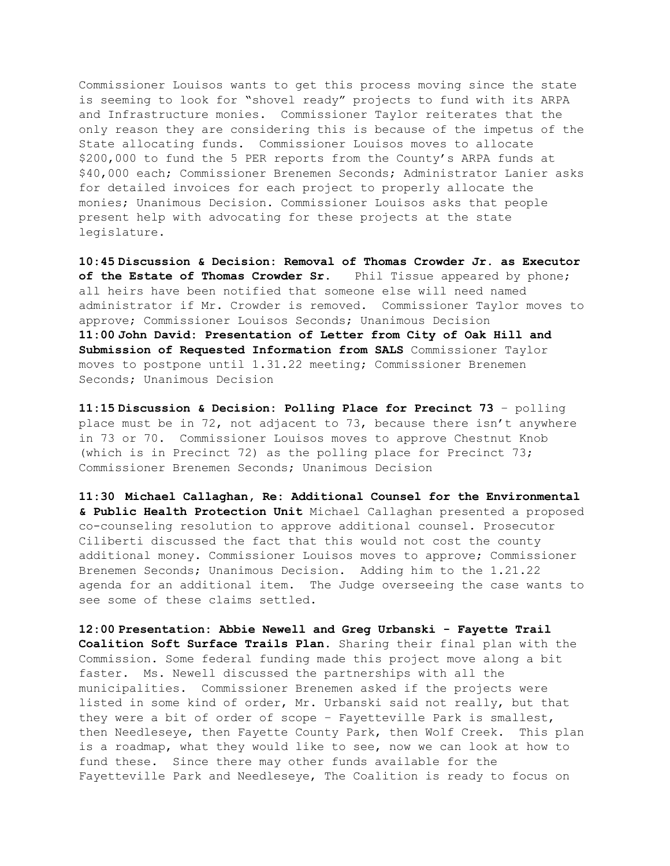Commissioner Louisos wants to get this process moving since the state is seeming to look for "shovel ready" projects to fund with its ARPA and Infrastructure monies. Commissioner Taylor reiterates that the only reason they are considering this is because of the impetus of the State allocating funds. Commissioner Louisos moves to allocate \$200,000 to fund the 5 PER reports from the County's ARPA funds at \$40,000 each; Commissioner Brenemen Seconds; Administrator Lanier asks for detailed invoices for each project to properly allocate the monies; Unanimous Decision. Commissioner Louisos asks that people present help with advocating for these projects at the state legislature.

**10:45 Discussion & Decision: Removal of Thomas Crowder Jr. as Executor of the Estate of Thomas Crowder Sr.** Phil Tissue appeared by phone; all heirs have been notified that someone else will need named administrator if Mr. Crowder is removed. Commissioner Taylor moves to approve; Commissioner Louisos Seconds; Unanimous Decision **11:00 John David: Presentation of Letter from City of Oak Hill and Submission of Requested Information from SALS** Commissioner Taylor moves to postpone until 1.31.22 meeting; Commissioner Brenemen Seconds; Unanimous Decision

**11:15 Discussion & Decision: Polling Place for Precinct 73** – polling place must be in 72, not adjacent to 73, because there isn't anywhere in 73 or 70. Commissioner Louisos moves to approve Chestnut Knob (which is in Precinct 72) as the polling place for Precinct 73; Commissioner Brenemen Seconds; Unanimous Decision

**11:30 Michael Callaghan, Re: Additional Counsel for the Environmental & Public Health Protection Unit** Michael Callaghan presented a proposed co-counseling resolution to approve additional counsel. Prosecutor Ciliberti discussed the fact that this would not cost the county additional money. Commissioner Louisos moves to approve; Commissioner Brenemen Seconds; Unanimous Decision. Adding him to the 1.21.22 agenda for an additional item. The Judge overseeing the case wants to see some of these claims settled.

**12:00 Presentation: Abbie Newell and Greg Urbanski - Fayette Trail Coalition Soft Surface Trails Plan.** Sharing their final plan with the Commission. Some federal funding made this project move along a bit faster. Ms. Newell discussed the partnerships with all the municipalities. Commissioner Brenemen asked if the projects were listed in some kind of order, Mr. Urbanski said not really, but that they were a bit of order of scope – Fayetteville Park is smallest, then Needleseye, then Fayette County Park, then Wolf Creek. This plan is a roadmap, what they would like to see, now we can look at how to fund these. Since there may other funds available for the Fayetteville Park and Needleseye, The Coalition is ready to focus on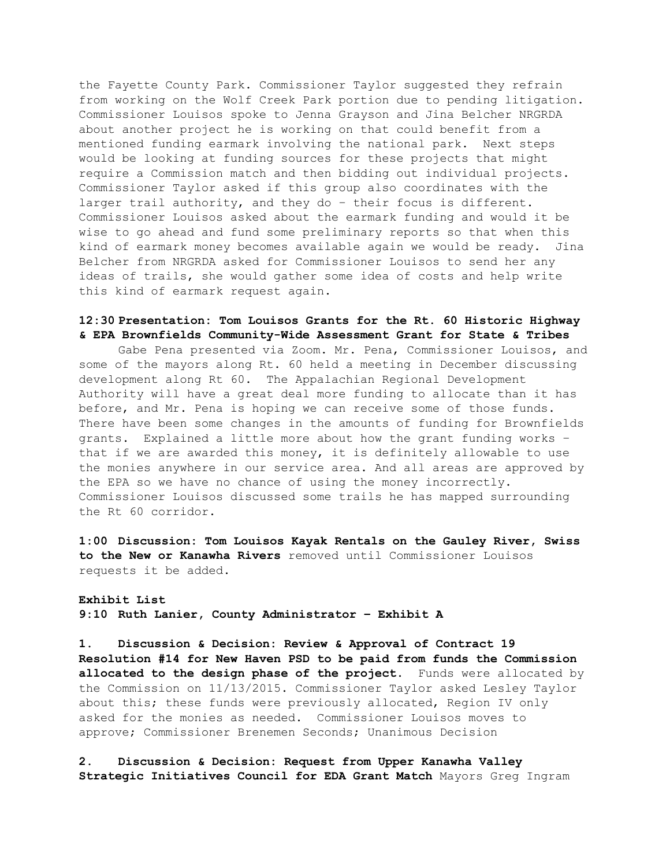the Fayette County Park. Commissioner Taylor suggested they refrain from working on the Wolf Creek Park portion due to pending litigation. Commissioner Louisos spoke to Jenna Grayson and Jina Belcher NRGRDA about another project he is working on that could benefit from a mentioned funding earmark involving the national park. Next steps would be looking at funding sources for these projects that might require a Commission match and then bidding out individual projects. Commissioner Taylor asked if this group also coordinates with the larger trail authority, and they do – their focus is different. Commissioner Louisos asked about the earmark funding and would it be wise to go ahead and fund some preliminary reports so that when this kind of earmark money becomes available again we would be ready. Jina Belcher from NRGRDA asked for Commissioner Louisos to send her any ideas of trails, she would gather some idea of costs and help write this kind of earmark request again.

## **12:30 Presentation: Tom Louisos Grants for the Rt. 60 Historic Highway & EPA Brownfields Community-Wide Assessment Grant for State & Tribes**

Gabe Pena presented via Zoom. Mr. Pena, Commissioner Louisos, and some of the mayors along Rt. 60 held a meeting in December discussing development along Rt 60. The Appalachian Regional Development Authority will have a great deal more funding to allocate than it has before, and Mr. Pena is hoping we can receive some of those funds. There have been some changes in the amounts of funding for Brownfields grants. Explained a little more about how the grant funding works – that if we are awarded this money, it is definitely allowable to use the monies anywhere in our service area. And all areas are approved by the EPA so we have no chance of using the money incorrectly. Commissioner Louisos discussed some trails he has mapped surrounding the Rt 60 corridor.

**1:00 Discussion: Tom Louisos Kayak Rentals on the Gauley River, Swiss to the New or Kanawha Rivers** removed until Commissioner Louisos requests it be added.

**Exhibit List 9:10 Ruth Lanier, County Administrator – Exhibit A**

**1. Discussion & Decision: Review & Approval of Contract 19 Resolution #14 for New Haven PSD to be paid from funds the Commission allocated to the design phase of the project.** Funds were allocated by the Commission on 11/13/2015. Commissioner Taylor asked Lesley Taylor about this; these funds were previously allocated, Region IV only asked for the monies as needed. Commissioner Louisos moves to approve; Commissioner Brenemen Seconds; Unanimous Decision

**2. Discussion & Decision: Request from Upper Kanawha Valley Strategic Initiatives Council for EDA Grant Match** Mayors Greg Ingram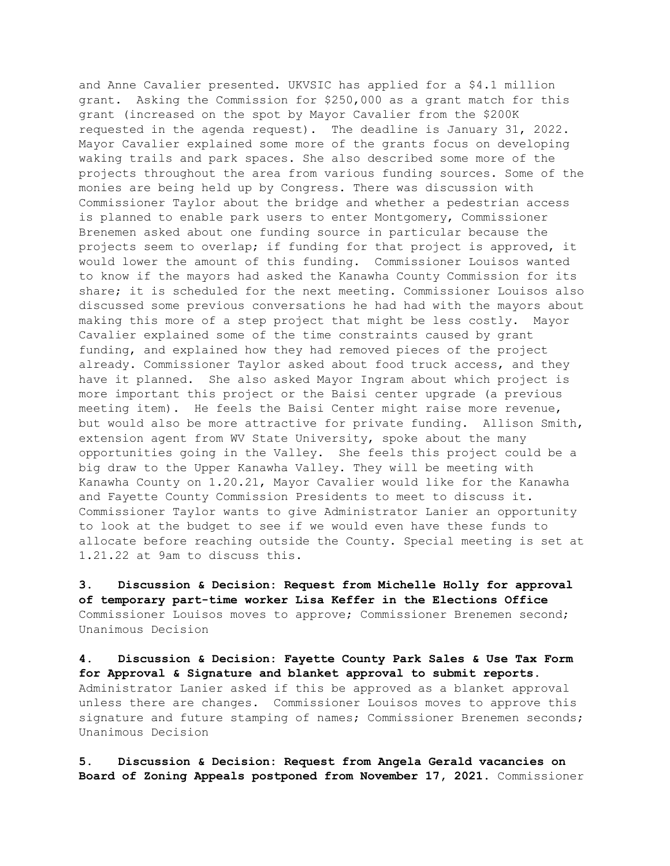and Anne Cavalier presented. UKVSIC has applied for a \$4.1 million grant. Asking the Commission for \$250,000 as a grant match for this grant (increased on the spot by Mayor Cavalier from the \$200K requested in the agenda request). The deadline is January 31, 2022. Mayor Cavalier explained some more of the grants focus on developing waking trails and park spaces. She also described some more of the projects throughout the area from various funding sources. Some of the monies are being held up by Congress. There was discussion with Commissioner Taylor about the bridge and whether a pedestrian access is planned to enable park users to enter Montgomery, Commissioner Brenemen asked about one funding source in particular because the projects seem to overlap; if funding for that project is approved, it would lower the amount of this funding. Commissioner Louisos wanted to know if the mayors had asked the Kanawha County Commission for its share; it is scheduled for the next meeting. Commissioner Louisos also discussed some previous conversations he had had with the mayors about making this more of a step project that might be less costly. Mayor Cavalier explained some of the time constraints caused by grant funding, and explained how they had removed pieces of the project already. Commissioner Taylor asked about food truck access, and they have it planned. She also asked Mayor Ingram about which project is more important this project or the Baisi center upgrade (a previous meeting item). He feels the Baisi Center might raise more revenue, but would also be more attractive for private funding. Allison Smith, extension agent from WV State University, spoke about the many opportunities going in the Valley. She feels this project could be a big draw to the Upper Kanawha Valley. They will be meeting with Kanawha County on 1.20.21, Mayor Cavalier would like for the Kanawha and Fayette County Commission Presidents to meet to discuss it. Commissioner Taylor wants to give Administrator Lanier an opportunity to look at the budget to see if we would even have these funds to allocate before reaching outside the County. Special meeting is set at 1.21.22 at 9am to discuss this.

**3. Discussion & Decision: Request from Michelle Holly for approval of temporary part-time worker Lisa Keffer in the Elections Office** Commissioner Louisos moves to approve; Commissioner Brenemen second; Unanimous Decision

**4. Discussion & Decision: Fayette County Park Sales & Use Tax Form for Approval & Signature and blanket approval to submit reports.** Administrator Lanier asked if this be approved as a blanket approval unless there are changes. Commissioner Louisos moves to approve this signature and future stamping of names; Commissioner Brenemen seconds; Unanimous Decision

**5. Discussion & Decision: Request from Angela Gerald vacancies on Board of Zoning Appeals postponed from November 17, 2021**. Commissioner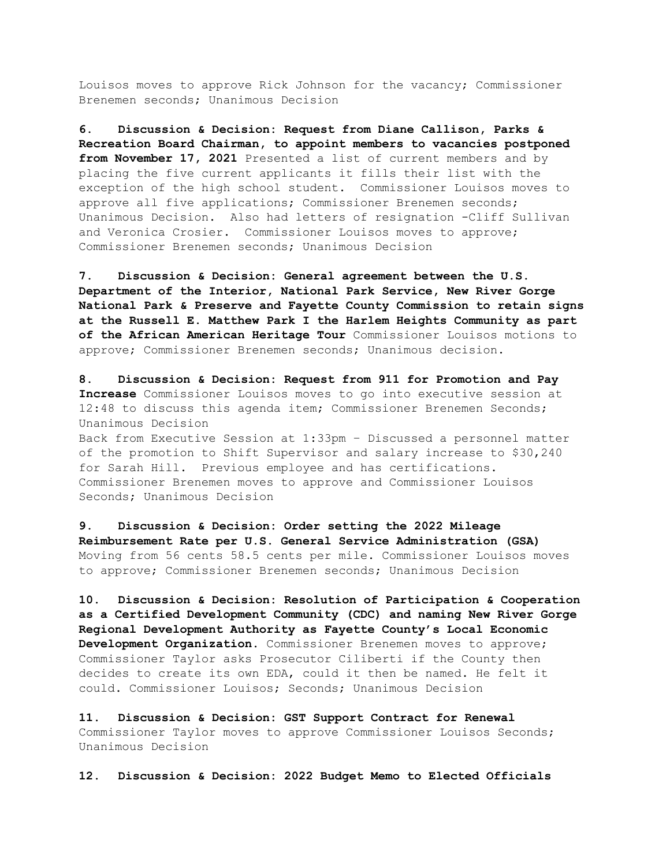Louisos moves to approve Rick Johnson for the vacancy; Commissioner Brenemen seconds; Unanimous Decision

**6. Discussion & Decision: Request from Diane Callison, Parks & Recreation Board Chairman, to appoint members to vacancies postponed from November 17, 2021** Presented a list of current members and by placing the five current applicants it fills their list with the exception of the high school student. Commissioner Louisos moves to approve all five applications; Commissioner Brenemen seconds; Unanimous Decision. Also had letters of resignation -Cliff Sullivan and Veronica Crosier. Commissioner Louisos moves to approve; Commissioner Brenemen seconds; Unanimous Decision

**7. Discussion & Decision: General agreement between the U.S. Department of the Interior, National Park Service, New River Gorge National Park & Preserve and Fayette County Commission to retain signs at the Russell E. Matthew Park I the Harlem Heights Community as part of the African American Heritage Tour** Commissioner Louisos motions to approve; Commissioner Brenemen seconds; Unanimous decision.

**8. Discussion & Decision: Request from 911 for Promotion and Pay Increase** Commissioner Louisos moves to go into executive session at 12:48 to discuss this agenda item; Commissioner Brenemen Seconds; Unanimous Decision Back from Executive Session at 1:33pm – Discussed a personnel matter

of the promotion to Shift Supervisor and salary increase to \$30,240 for Sarah Hill. Previous employee and has certifications. Commissioner Brenemen moves to approve and Commissioner Louisos Seconds; Unanimous Decision

**9. Discussion & Decision: Order setting the 2022 Mileage Reimbursement Rate per U.S. General Service Administration (GSA)** Moving from 56 cents 58.5 cents per mile. Commissioner Louisos moves to approve; Commissioner Brenemen seconds; Unanimous Decision

**10. Discussion & Decision: Resolution of Participation & Cooperation as a Certified Development Community (CDC) and naming New River Gorge Regional Development Authority as Fayette County's Local Economic Development Organization.** Commissioner Brenemen moves to approve; Commissioner Taylor asks Prosecutor Ciliberti if the County then decides to create its own EDA, could it then be named. He felt it could. Commissioner Louisos; Seconds; Unanimous Decision

**11. Discussion & Decision: GST Support Contract for Renewal**  Commissioner Taylor moves to approve Commissioner Louisos Seconds; Unanimous Decision

**12. Discussion & Decision: 2022 Budget Memo to Elected Officials**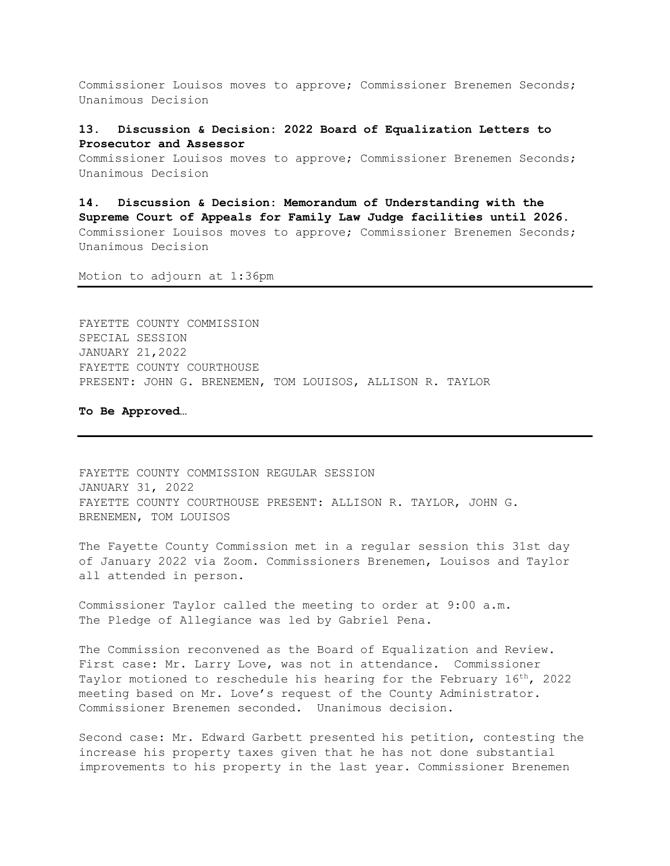Commissioner Louisos moves to approve; Commissioner Brenemen Seconds; Unanimous Decision

## **13. Discussion & Decision: 2022 Board of Equalization Letters to Prosecutor and Assessor**

Commissioner Louisos moves to approve; Commissioner Brenemen Seconds; Unanimous Decision

**14. Discussion & Decision: Memorandum of Understanding with the Supreme Court of Appeals for Family Law Judge facilities until 2026.** Commissioner Louisos moves to approve; Commissioner Brenemen Seconds; Unanimous Decision

Motion to adjourn at 1:36pm

FAYETTE COUNTY COMMISSION SPECIAL SESSION JANUARY 21,2022 FAYETTE COUNTY COURTHOUSE PRESENT: JOHN G. BRENEMEN, TOM LOUISOS, ALLISON R. TAYLOR

**To Be Approved…**

FAYETTE COUNTY COMMISSION REGULAR SESSION JANUARY 31, 2022 FAYETTE COUNTY COURTHOUSE PRESENT: ALLISON R. TAYLOR, JOHN G. BRENEMEN, TOM LOUISOS

The Fayette County Commission met in a regular session this 31st day of January 2022 via Zoom. Commissioners Brenemen, Louisos and Taylor all attended in person.

Commissioner Taylor called the meeting to order at 9:00 a.m. The Pledge of Allegiance was led by Gabriel Pena.

The Commission reconvened as the Board of Equalization and Review. First case: Mr. Larry Love, was not in attendance. Commissioner Taylor motioned to reschedule his hearing for the February 16<sup>th</sup>, 2022 meeting based on Mr. Love's request of the County Administrator. Commissioner Brenemen seconded. Unanimous decision.

Second case: Mr. Edward Garbett presented his petition, contesting the increase his property taxes given that he has not done substantial improvements to his property in the last year. Commissioner Brenemen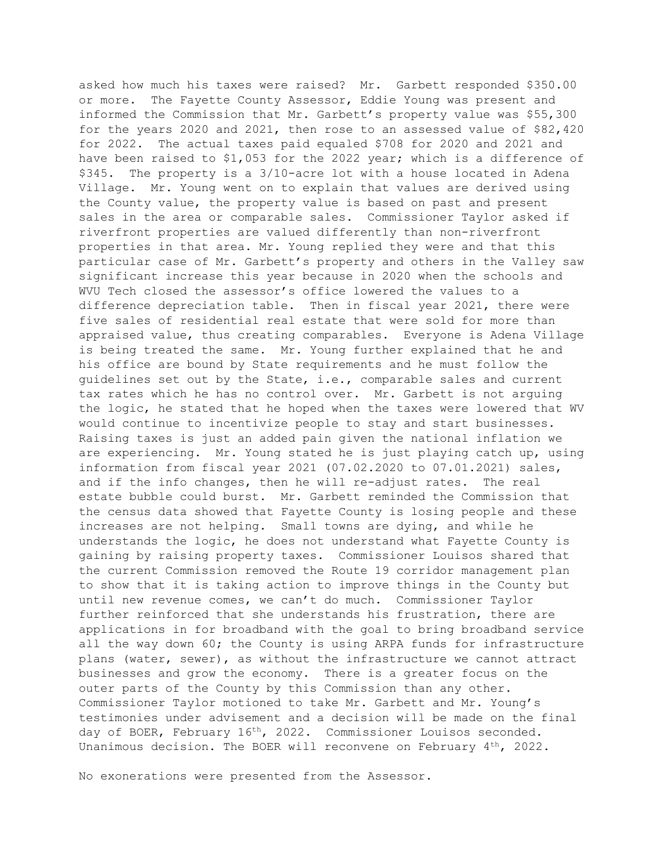asked how much his taxes were raised? Mr. Garbett responded \$350.00 or more. The Fayette County Assessor, Eddie Young was present and informed the Commission that Mr. Garbett's property value was \$55,300 for the years 2020 and 2021, then rose to an assessed value of \$82,420 for 2022. The actual taxes paid equaled \$708 for 2020 and 2021 and have been raised to \$1,053 for the 2022 year; which is a difference of \$345. The property is a 3/10-acre lot with a house located in Adena Village. Mr. Young went on to explain that values are derived using the County value, the property value is based on past and present sales in the area or comparable sales. Commissioner Taylor asked if riverfront properties are valued differently than non-riverfront properties in that area. Mr. Young replied they were and that this particular case of Mr. Garbett's property and others in the Valley saw significant increase this year because in 2020 when the schools and WVU Tech closed the assessor's office lowered the values to a difference depreciation table. Then in fiscal year 2021, there were five sales of residential real estate that were sold for more than appraised value, thus creating comparables. Everyone is Adena Village is being treated the same. Mr. Young further explained that he and his office are bound by State requirements and he must follow the guidelines set out by the State, i.e., comparable sales and current tax rates which he has no control over. Mr. Garbett is not arguing the logic, he stated that he hoped when the taxes were lowered that WV would continue to incentivize people to stay and start businesses. Raising taxes is just an added pain given the national inflation we are experiencing. Mr. Young stated he is just playing catch up, using information from fiscal year 2021 (07.02.2020 to 07.01.2021) sales, and if the info changes, then he will re-adjust rates. The real estate bubble could burst. Mr. Garbett reminded the Commission that the census data showed that Fayette County is losing people and these increases are not helping. Small towns are dying, and while he understands the logic, he does not understand what Fayette County is gaining by raising property taxes. Commissioner Louisos shared that the current Commission removed the Route 19 corridor management plan to show that it is taking action to improve things in the County but until new revenue comes, we can't do much. Commissioner Taylor further reinforced that she understands his frustration, there are applications in for broadband with the goal to bring broadband service all the way down 60; the County is using ARPA funds for infrastructure plans (water, sewer), as without the infrastructure we cannot attract businesses and grow the economy. There is a greater focus on the outer parts of the County by this Commission than any other. Commissioner Taylor motioned to take Mr. Garbett and Mr. Young's testimonies under advisement and a decision will be made on the final day of BOER, February 16th, 2022. Commissioner Louisos seconded. Unanimous decision. The BOER will reconvene on February  $4<sup>th</sup>$ , 2022.

No exonerations were presented from the Assessor.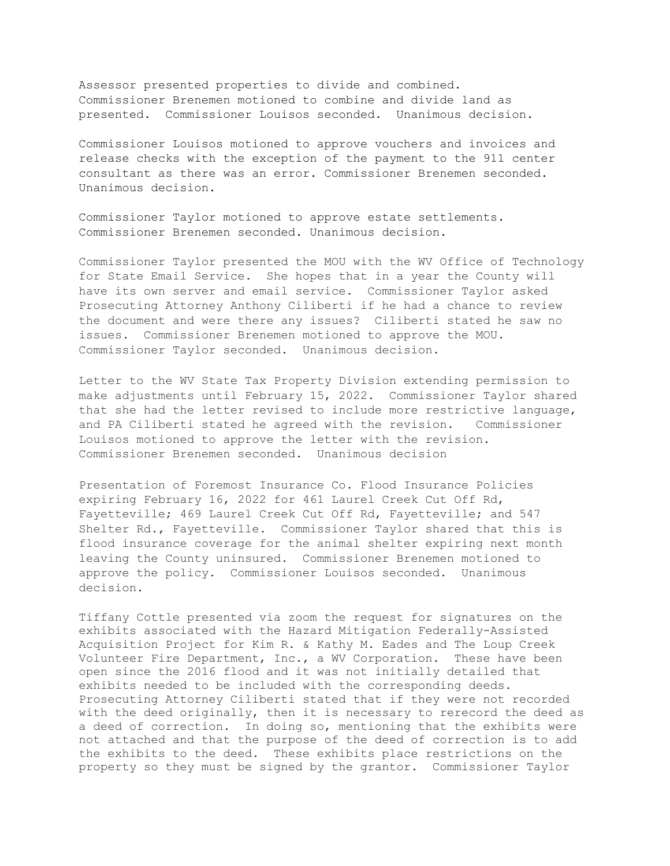Assessor presented properties to divide and combined. Commissioner Brenemen motioned to combine and divide land as presented. Commissioner Louisos seconded. Unanimous decision.

Commissioner Louisos motioned to approve vouchers and invoices and release checks with the exception of the payment to the 911 center consultant as there was an error. Commissioner Brenemen seconded. Unanimous decision.

Commissioner Taylor motioned to approve estate settlements. Commissioner Brenemen seconded. Unanimous decision.

Commissioner Taylor presented the MOU with the WV Office of Technology for State Email Service. She hopes that in a year the County will have its own server and email service. Commissioner Taylor asked Prosecuting Attorney Anthony Ciliberti if he had a chance to review the document and were there any issues? Ciliberti stated he saw no issues. Commissioner Brenemen motioned to approve the MOU. Commissioner Taylor seconded. Unanimous decision.

Letter to the WV State Tax Property Division extending permission to make adjustments until February 15, 2022. Commissioner Taylor shared that she had the letter revised to include more restrictive language, and PA Ciliberti stated he agreed with the revision. Commissioner Louisos motioned to approve the letter with the revision. Commissioner Brenemen seconded. Unanimous decision

Presentation of Foremost Insurance Co. Flood Insurance Policies expiring February 16, 2022 for 461 Laurel Creek Cut Off Rd, Fayetteville; 469 Laurel Creek Cut Off Rd, Fayetteville; and 547 Shelter Rd., Fayetteville. Commissioner Taylor shared that this is flood insurance coverage for the animal shelter expiring next month leaving the County uninsured. Commissioner Brenemen motioned to approve the policy. Commissioner Louisos seconded. Unanimous decision.

Tiffany Cottle presented via zoom the request for signatures on the exhibits associated with the Hazard Mitigation Federally-Assisted Acquisition Project for Kim R. & Kathy M. Eades and The Loup Creek Volunteer Fire Department, Inc., a WV Corporation. These have been open since the 2016 flood and it was not initially detailed that exhibits needed to be included with the corresponding deeds. Prosecuting Attorney Ciliberti stated that if they were not recorded with the deed originally, then it is necessary to rerecord the deed as a deed of correction. In doing so, mentioning that the exhibits were not attached and that the purpose of the deed of correction is to add the exhibits to the deed. These exhibits place restrictions on the property so they must be signed by the grantor. Commissioner Taylor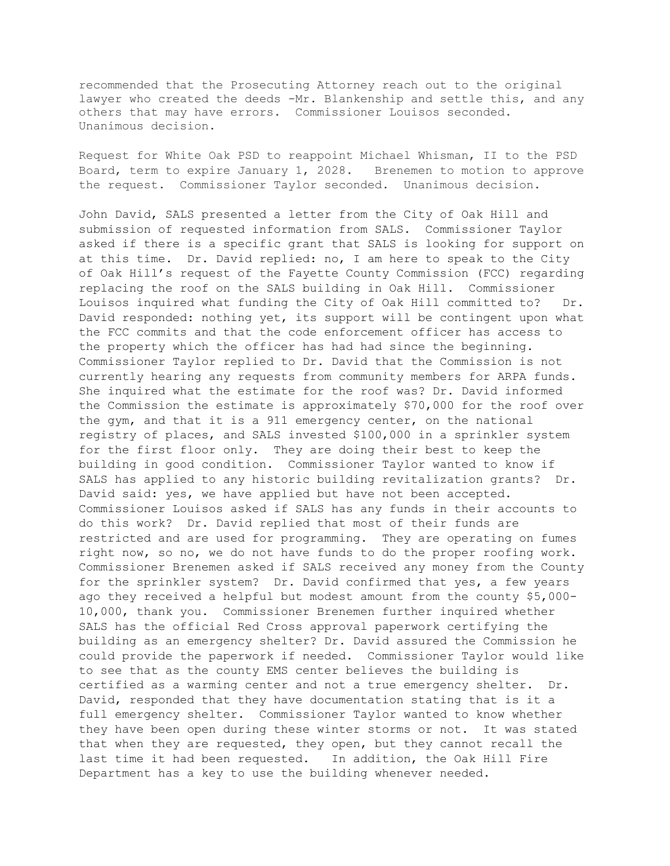recommended that the Prosecuting Attorney reach out to the original lawyer who created the deeds -Mr. Blankenship and settle this, and any others that may have errors. Commissioner Louisos seconded. Unanimous decision.

Request for White Oak PSD to reappoint Michael Whisman, II to the PSD Board, term to expire January 1, 2028. Brenemen to motion to approve the request. Commissioner Taylor seconded. Unanimous decision.

John David, SALS presented a letter from the City of Oak Hill and submission of requested information from SALS. Commissioner Taylor asked if there is a specific grant that SALS is looking for support on at this time. Dr. David replied: no, I am here to speak to the City of Oak Hill's request of the Fayette County Commission (FCC) regarding replacing the roof on the SALS building in Oak Hill. Commissioner Louisos inquired what funding the City of Oak Hill committed to? Dr. David responded: nothing yet, its support will be contingent upon what the FCC commits and that the code enforcement officer has access to the property which the officer has had had since the beginning. Commissioner Taylor replied to Dr. David that the Commission is not currently hearing any requests from community members for ARPA funds. She inquired what the estimate for the roof was? Dr. David informed the Commission the estimate is approximately \$70,000 for the roof over the gym, and that it is a 911 emergency center, on the national registry of places, and SALS invested \$100,000 in a sprinkler system for the first floor only. They are doing their best to keep the building in good condition. Commissioner Taylor wanted to know if SALS has applied to any historic building revitalization grants? Dr. David said: yes, we have applied but have not been accepted. Commissioner Louisos asked if SALS has any funds in their accounts to do this work? Dr. David replied that most of their funds are restricted and are used for programming. They are operating on fumes right now, so no, we do not have funds to do the proper roofing work. Commissioner Brenemen asked if SALS received any money from the County for the sprinkler system? Dr. David confirmed that yes, a few years ago they received a helpful but modest amount from the county \$5,000- 10,000, thank you. Commissioner Brenemen further inquired whether SALS has the official Red Cross approval paperwork certifying the building as an emergency shelter? Dr. David assured the Commission he could provide the paperwork if needed. Commissioner Taylor would like to see that as the county EMS center believes the building is certified as a warming center and not a true emergency shelter. Dr. David, responded that they have documentation stating that is it a full emergency shelter. Commissioner Taylor wanted to know whether they have been open during these winter storms or not. It was stated that when they are requested, they open, but they cannot recall the last time it had been requested. In addition, the Oak Hill Fire Department has a key to use the building whenever needed.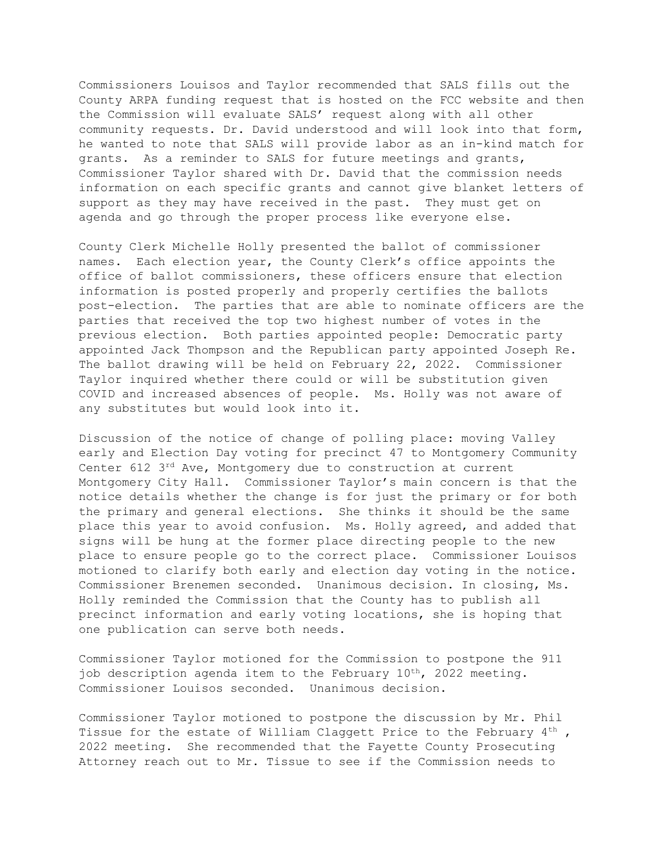Commissioners Louisos and Taylor recommended that SALS fills out the County ARPA funding request that is hosted on the FCC website and then the Commission will evaluate SALS' request along with all other community requests. Dr. David understood and will look into that form, he wanted to note that SALS will provide labor as an in-kind match for grants. As a reminder to SALS for future meetings and grants, Commissioner Taylor shared with Dr. David that the commission needs information on each specific grants and cannot give blanket letters of support as they may have received in the past. They must get on agenda and go through the proper process like everyone else.

County Clerk Michelle Holly presented the ballot of commissioner names. Each election year, the County Clerk's office appoints the office of ballot commissioners, these officers ensure that election information is posted properly and properly certifies the ballots post-election. The parties that are able to nominate officers are the parties that received the top two highest number of votes in the previous election. Both parties appointed people: Democratic party appointed Jack Thompson and the Republican party appointed Joseph Re. The ballot drawing will be held on February 22, 2022. Commissioner Taylor inquired whether there could or will be substitution given COVID and increased absences of people. Ms. Holly was not aware of any substitutes but would look into it.

Discussion of the notice of change of polling place: moving Valley early and Election Day voting for precinct 47 to Montgomery Community Center 612 3rd Ave, Montgomery due to construction at current Montgomery City Hall. Commissioner Taylor's main concern is that the notice details whether the change is for just the primary or for both the primary and general elections. She thinks it should be the same place this year to avoid confusion. Ms. Holly agreed, and added that signs will be hung at the former place directing people to the new place to ensure people go to the correct place. Commissioner Louisos motioned to clarify both early and election day voting in the notice. Commissioner Brenemen seconded. Unanimous decision. In closing, Ms. Holly reminded the Commission that the County has to publish all precinct information and early voting locations, she is hoping that one publication can serve both needs.

Commissioner Taylor motioned for the Commission to postpone the 911 job description agenda item to the February 10<sup>th</sup>, 2022 meeting. Commissioner Louisos seconded. Unanimous decision.

Commissioner Taylor motioned to postpone the discussion by Mr. Phil Tissue for the estate of William Claggett Price to the February  $4<sup>th</sup>$ , 2022 meeting. She recommended that the Fayette County Prosecuting Attorney reach out to Mr. Tissue to see if the Commission needs to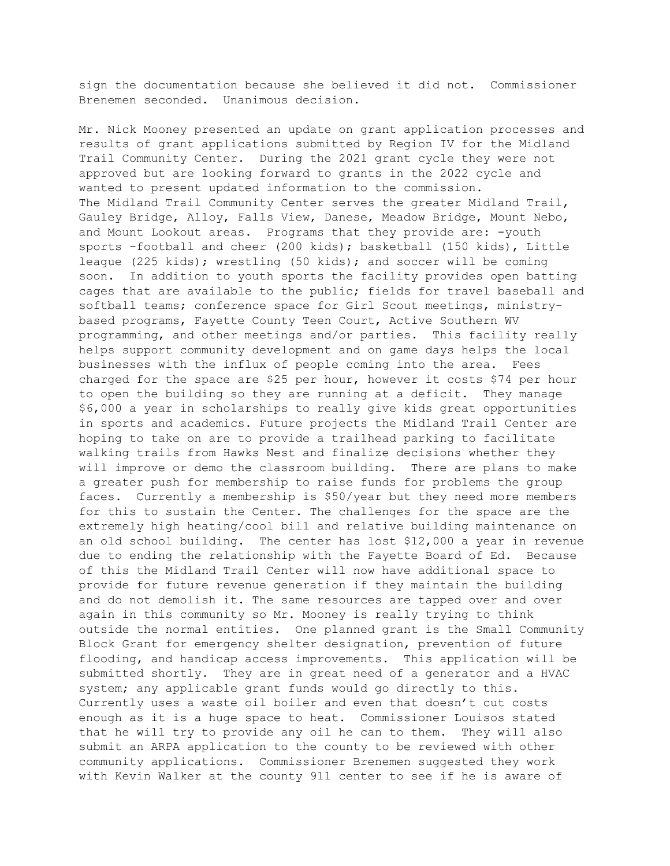sign the documentation because she believed it did not. Commissioner Brenemen seconded. Unanimous decision.

Mr. Nick Mooney presented an update on grant application processes and results of grant applications submitted by Region IV for the Midland Trail Community Center. During the 2021 grant cycle they were not approved but are looking forward to grants in the 2022 cycle and wanted to present updated information to the commission. The Midland Trail Community Center serves the greater Midland Trail, Gauley Bridge, Alloy, Falls View, Danese, Meadow Bridge, Mount Nebo, and Mount Lookout areas. Programs that they provide are: -youth sports -football and cheer (200 kids); basketball (150 kids), Little league (225 kids); wrestling (50 kids); and soccer will be coming soon. In addition to youth sports the facility provides open batting cages that are available to the public; fields for travel baseball and softball teams; conference space for Girl Scout meetings, ministrybased programs, Fayette County Teen Court, Active Southern WV programming, and other meetings and/or parties. This facility really helps support community development and on game days helps the local businesses with the influx of people coming into the area. Fees charged for the space are \$25 per hour, however it costs \$74 per hour to open the building so they are running at a deficit. They manage \$6,000 a year in scholarships to really give kids great opportunities in sports and academics. Future projects the Midland Trail Center are hoping to take on are to provide a trailhead parking to facilitate walking trails from Hawks Nest and finalize decisions whether they will improve or demo the classroom building. There are plans to make a greater push for membership to raise funds for problems the group faces. Currently a membership is \$50/year but they need more members for this to sustain the Center. The challenges for the space are the extremely high heating/cool bill and relative building maintenance on an old school building. The center has lost \$12,000 a year in revenue due to ending the relationship with the Fayette Board of Ed. Because of this the Midland Trail Center will now have additional space to provide for future revenue generation if they maintain the building and do not demolish it. The same resources are tapped over and over again in this community so Mr. Mooney is really trying to think outside the normal entities. One planned grant is the Small Community Block Grant for emergency shelter designation, prevention of future flooding, and handicap access improvements. This application will be submitted shortly. They are in great need of a generator and a HVAC system; any applicable grant funds would go directly to this. Currently uses a waste oil boiler and even that doesn't cut costs enough as it is a huge space to heat. Commissioner Louisos stated that he will try to provide any oil he can to them. They will also submit an ARPA application to the county to be reviewed with other community applications. Commissioner Brenemen suggested they work with Kevin Walker at the county 911 center to see if he is aware of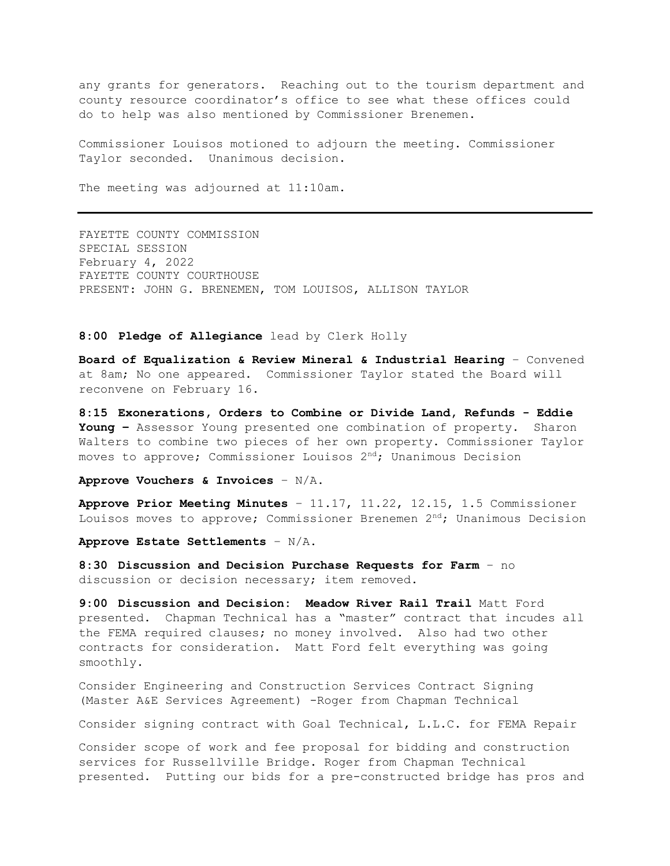any grants for generators. Reaching out to the tourism department and county resource coordinator's office to see what these offices could do to help was also mentioned by Commissioner Brenemen.

Commissioner Louisos motioned to adjourn the meeting. Commissioner Taylor seconded. Unanimous decision.

The meeting was adjourned at 11:10am.

FAYETTE COUNTY COMMISSION SPECIAL SESSION February 4, 2022 FAYETTE COUNTY COURTHOUSE PRESENT: JOHN G. BRENEMEN, TOM LOUISOS, ALLISON TAYLOR

### **8:00 Pledge of Allegiance** lead by Clerk Holly

**Board of Equalization & Review Mineral & Industrial Hearing** – Convened at 8am; No one appeared. Commissioner Taylor stated the Board will reconvene on February 16.

**8:15 Exonerations, Orders to Combine or Divide Land, Refunds - Eddie Young –** Assessor Young presented one combination of property. Sharon Walters to combine two pieces of her own property. Commissioner Taylor moves to approve; Commissioner Louisos  $2<sup>nd</sup>$ ; Unanimous Decision

**Approve Vouchers & Invoices** – N/A.

**Approve Prior Meeting Minutes** – 11.17, 11.22, 12.15, 1.5 Commissioner Louisos moves to approve; Commissioner Brenemen  $2<sup>nd</sup>$ ; Unanimous Decision

**Approve Estate Settlements** – N/A.

**8:30 Discussion and Decision Purchase Requests for Farm** – no discussion or decision necessary; item removed.

**9:00 Discussion and Decision: Meadow River Rail Trail** Matt Ford presented. Chapman Technical has a "master" contract that incudes all the FEMA required clauses; no money involved. Also had two other contracts for consideration. Matt Ford felt everything was going smoothly.

Consider Engineering and Construction Services Contract Signing (Master A&E Services Agreement) -Roger from Chapman Technical

Consider signing contract with Goal Technical, L.L.C. for FEMA Repair

Consider scope of work and fee proposal for bidding and construction services for Russellville Bridge. Roger from Chapman Technical presented. Putting our bids for a pre-constructed bridge has pros and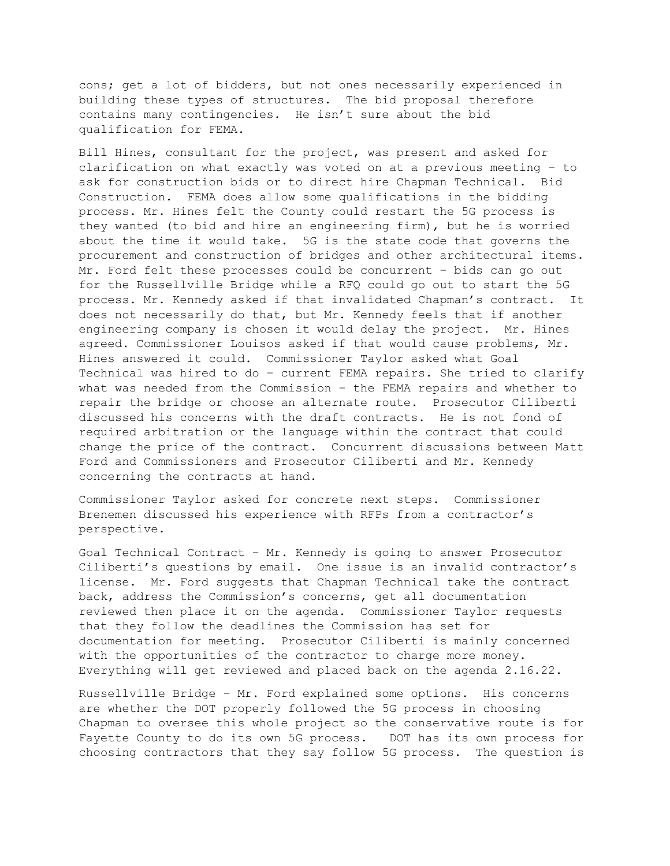cons; get a lot of bidders, but not ones necessarily experienced in building these types of structures. The bid proposal therefore contains many contingencies. He isn't sure about the bid qualification for FEMA.

Bill Hines, consultant for the project, was present and asked for clarification on what exactly was voted on at a previous meeting – to ask for construction bids or to direct hire Chapman Technical. Bid Construction. FEMA does allow some qualifications in the bidding process. Mr. Hines felt the County could restart the 5G process is they wanted (to bid and hire an engineering firm), but he is worried about the time it would take. 5G is the state code that governs the procurement and construction of bridges and other architectural items. Mr. Ford felt these processes could be concurrent – bids can go out for the Russellville Bridge while a RFQ could go out to start the 5G process. Mr. Kennedy asked if that invalidated Chapman's contract. It does not necessarily do that, but Mr. Kennedy feels that if another engineering company is chosen it would delay the project. Mr. Hines agreed. Commissioner Louisos asked if that would cause problems, Mr. Hines answered it could. Commissioner Taylor asked what Goal Technical was hired to do – current FEMA repairs. She tried to clarify what was needed from the Commission – the FEMA repairs and whether to repair the bridge or choose an alternate route. Prosecutor Ciliberti discussed his concerns with the draft contracts. He is not fond of required arbitration or the language within the contract that could change the price of the contract. Concurrent discussions between Matt Ford and Commissioners and Prosecutor Ciliberti and Mr. Kennedy concerning the contracts at hand.

Commissioner Taylor asked for concrete next steps. Commissioner Brenemen discussed his experience with RFPs from a contractor's perspective.

Goal Technical Contract – Mr. Kennedy is going to answer Prosecutor Ciliberti's questions by email. One issue is an invalid contractor's license. Mr. Ford suggests that Chapman Technical take the contract back, address the Commission's concerns, get all documentation reviewed then place it on the agenda. Commissioner Taylor requests that they follow the deadlines the Commission has set for documentation for meeting. Prosecutor Ciliberti is mainly concerned with the opportunities of the contractor to charge more money. Everything will get reviewed and placed back on the agenda 2.16.22.

Russellville Bridge – Mr. Ford explained some options. His concerns are whether the DOT properly followed the 5G process in choosing Chapman to oversee this whole project so the conservative route is for Fayette County to do its own 5G process. DOT has its own process for choosing contractors that they say follow 5G process. The question is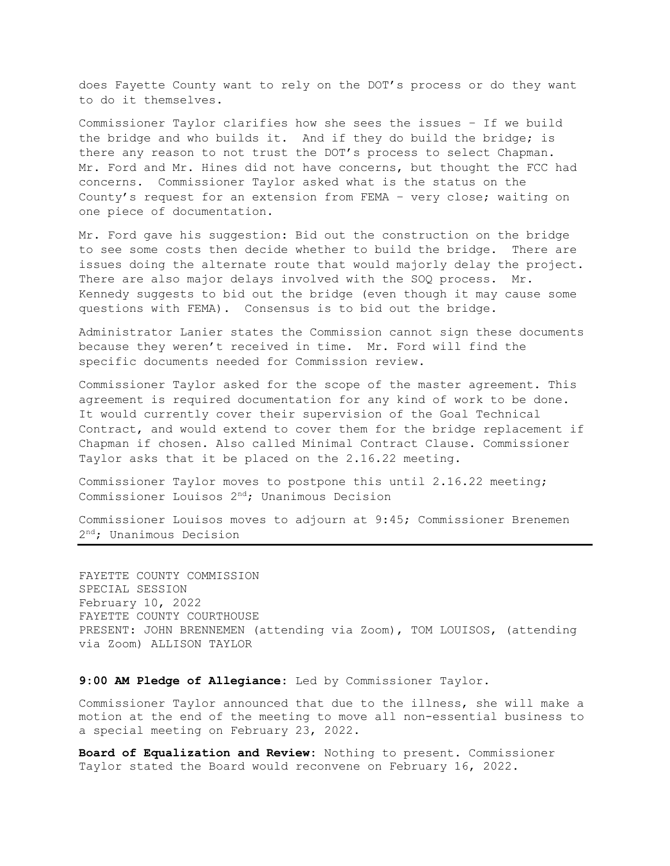does Fayette County want to rely on the DOT's process or do they want to do it themselves.

Commissioner Taylor clarifies how she sees the issues – If we build the bridge and who builds it. And if they do build the bridge; is there any reason to not trust the DOT's process to select Chapman. Mr. Ford and Mr. Hines did not have concerns, but thought the FCC had concerns. Commissioner Taylor asked what is the status on the County's request for an extension from FEMA – very close; waiting on one piece of documentation.

Mr. Ford gave his suggestion: Bid out the construction on the bridge to see some costs then decide whether to build the bridge. There are issues doing the alternate route that would majorly delay the project. There are also major delays involved with the SOQ process. Mr. Kennedy suggests to bid out the bridge (even though it may cause some questions with FEMA). Consensus is to bid out the bridge.

Administrator Lanier states the Commission cannot sign these documents because they weren't received in time. Mr. Ford will find the specific documents needed for Commission review.

Commissioner Taylor asked for the scope of the master agreement. This agreement is required documentation for any kind of work to be done. It would currently cover their supervision of the Goal Technical Contract, and would extend to cover them for the bridge replacement if Chapman if chosen. Also called Minimal Contract Clause. Commissioner Taylor asks that it be placed on the 2.16.22 meeting.

Commissioner Taylor moves to postpone this until 2.16.22 meeting; Commissioner Louisos 2nd; Unanimous Decision

Commissioner Louisos moves to adjourn at 9:45; Commissioner Brenemen 2 nd; Unanimous Decision

FAYETTE COUNTY COMMISSION SPECIAL SESSION February 10, 2022 FAYETTE COUNTY COURTHOUSE PRESENT: JOHN BRENNEMEN (attending via Zoom), TOM LOUISOS, (attending via Zoom) ALLISON TAYLOR

## **9:00 AM Pledge of Allegiance:** Led by Commissioner Taylor.

Commissioner Taylor announced that due to the illness, she will make a motion at the end of the meeting to move all non-essential business to a special meeting on February 23, 2022.

**Board of Equalization and Review:** Nothing to present. Commissioner Taylor stated the Board would reconvene on February 16, 2022.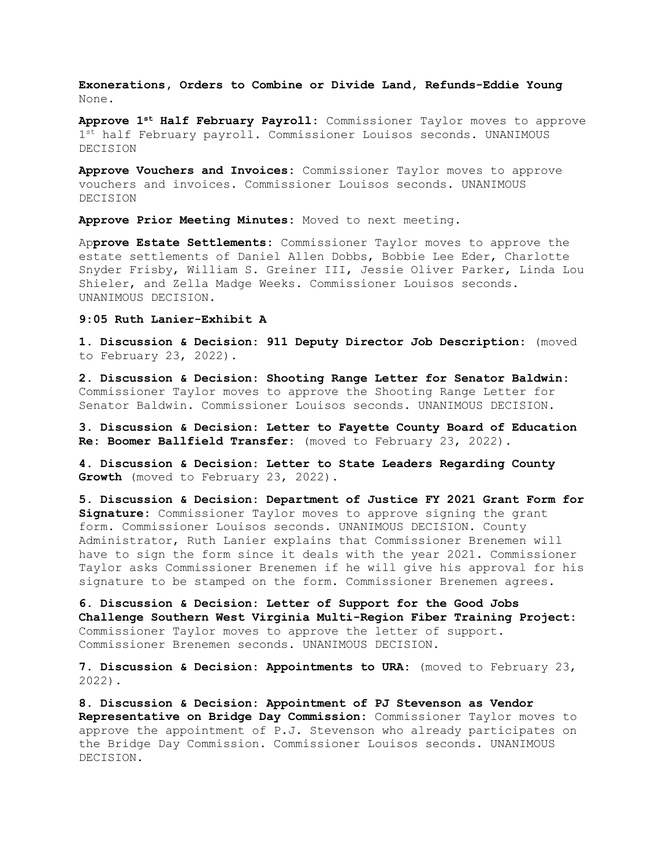**Exonerations, Orders to Combine or Divide Land, Refunds-Eddie Young**  None.

**Approve 1st Half February Payroll:** Commissioner Taylor moves to approve 1st half February payroll. Commissioner Louisos seconds. UNANIMOUS DECISION

**Approve Vouchers and Invoices:** Commissioner Taylor moves to approve vouchers and invoices. Commissioner Louisos seconds. UNANIMOUS DECISION

**Approve Prior Meeting Minutes:** Moved to next meeting.

Ap**prove Estate Settlements:** Commissioner Taylor moves to approve the estate settlements of Daniel Allen Dobbs, Bobbie Lee Eder, Charlotte Snyder Frisby, William S. Greiner III, Jessie Oliver Parker, Linda Lou Shieler, and Zella Madge Weeks. Commissioner Louisos seconds. UNANIMOUS DECISION.

#### **9:05 Ruth Lanier-Exhibit A**

**1. Discussion & Decision: 911 Deputy Director Job Description:** (moved to February 23, 2022).

**2. Discussion & Decision: Shooting Range Letter for Senator Baldwin:**  Commissioner Taylor moves to approve the Shooting Range Letter for Senator Baldwin. Commissioner Louisos seconds. UNANIMOUS DECISION.

**3. Discussion & Decision: Letter to Fayette County Board of Education Re: Boomer Ballfield Transfer:** (moved to February 23, 2022).

**4. Discussion & Decision: Letter to State Leaders Regarding County Growth** (moved to February 23, 2022).

**5. Discussion & Decision: Department of Justice FY 2021 Grant Form for Signature:** Commissioner Taylor moves to approve signing the grant form. Commissioner Louisos seconds. UNANIMOUS DECISION. County Administrator, Ruth Lanier explains that Commissioner Brenemen will have to sign the form since it deals with the year 2021. Commissioner Taylor asks Commissioner Brenemen if he will give his approval for his signature to be stamped on the form. Commissioner Brenemen agrees.

**6. Discussion & Decision: Letter of Support for the Good Jobs Challenge Southern West Virginia Multi-Region Fiber Training Project:**  Commissioner Taylor moves to approve the letter of support. Commissioner Brenemen seconds. UNANIMOUS DECISION.

**7. Discussion & Decision: Appointments to URA:** (moved to February 23, 2022).

**8. Discussion & Decision: Appointment of PJ Stevenson as Vendor Representative on Bridge Day Commission:** Commissioner Taylor moves to approve the appointment of P.J. Stevenson who already participates on the Bridge Day Commission. Commissioner Louisos seconds. UNANIMOUS DECISION.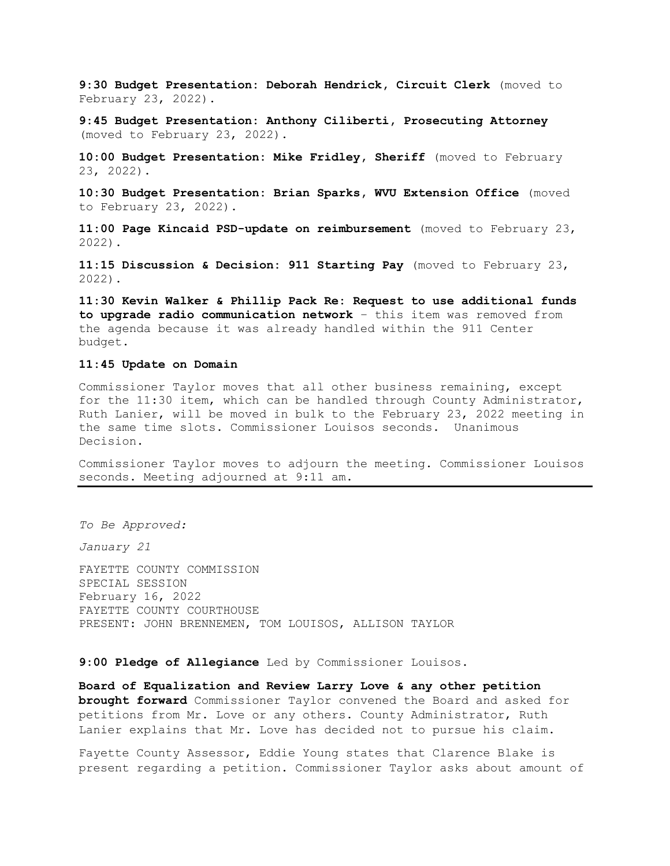**9:30 Budget Presentation: Deborah Hendrick, Circuit Clerk** (moved to February 23, 2022).

**9:45 Budget Presentation: Anthony Ciliberti, Prosecuting Attorney**  (moved to February 23, 2022).

**10:00 Budget Presentation: Mike Fridley, Sheriff** (moved to February 23, 2022).

**10:30 Budget Presentation: Brian Sparks, WVU Extension Office** (moved to February 23, 2022).

**11:00 Page Kincaid PSD-update on reimbursement** (moved to February 23, 2022).

**11:15 Discussion & Decision: 911 Starting Pay** (moved to February 23, 2022).

**11:30 Kevin Walker & Phillip Pack Re: Request to use additional funds to upgrade radio communication network** – this item was removed from the agenda because it was already handled within the 911 Center budget.

### **11:45 Update on Domain**

Commissioner Taylor moves that all other business remaining, except for the 11:30 item, which can be handled through County Administrator, Ruth Lanier, will be moved in bulk to the February 23, 2022 meeting in the same time slots. Commissioner Louisos seconds. Unanimous Decision.

Commissioner Taylor moves to adjourn the meeting. Commissioner Louisos seconds. Meeting adjourned at 9:11 am.

*To Be Approved:*

*January 21*

FAYETTE COUNTY COMMISSION SPECIAL SESSION February 16, 2022 FAYETTE COUNTY COURTHOUSE PRESENT: JOHN BRENNEMEN, TOM LOUISOS, ALLISON TAYLOR

**9:00 Pledge of Allegiance** Led by Commissioner Louisos.

**Board of Equalization and Review Larry Love & any other petition brought forward** Commissioner Taylor convened the Board and asked for petitions from Mr. Love or any others. County Administrator, Ruth Lanier explains that Mr. Love has decided not to pursue his claim.

Fayette County Assessor, Eddie Young states that Clarence Blake is present regarding a petition. Commissioner Taylor asks about amount of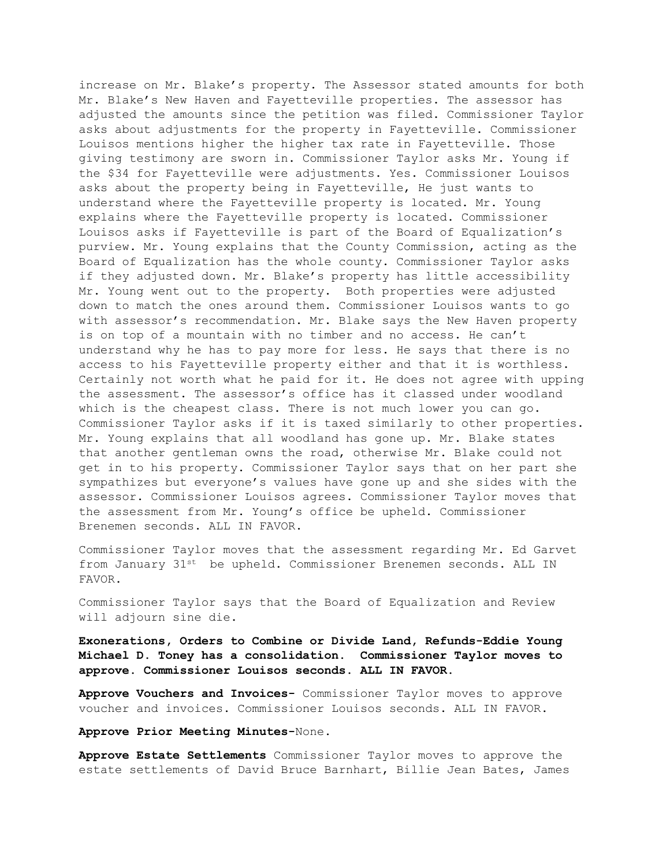increase on Mr. Blake's property. The Assessor stated amounts for both Mr. Blake's New Haven and Fayetteville properties. The assessor has adjusted the amounts since the petition was filed. Commissioner Taylor asks about adjustments for the property in Fayetteville. Commissioner Louisos mentions higher the higher tax rate in Fayetteville. Those giving testimony are sworn in. Commissioner Taylor asks Mr. Young if the \$34 for Fayetteville were adjustments. Yes. Commissioner Louisos asks about the property being in Fayetteville, He just wants to understand where the Fayetteville property is located. Mr. Young explains where the Fayetteville property is located. Commissioner Louisos asks if Fayetteville is part of the Board of Equalization's purview. Mr. Young explains that the County Commission, acting as the Board of Equalization has the whole county. Commissioner Taylor asks if they adjusted down. Mr. Blake's property has little accessibility Mr. Young went out to the property. Both properties were adjusted down to match the ones around them. Commissioner Louisos wants to go with assessor's recommendation. Mr. Blake says the New Haven property is on top of a mountain with no timber and no access. He can't understand why he has to pay more for less. He says that there is no access to his Fayetteville property either and that it is worthless. Certainly not worth what he paid for it. He does not agree with upping the assessment. The assessor's office has it classed under woodland which is the cheapest class. There is not much lower you can go. Commissioner Taylor asks if it is taxed similarly to other properties. Mr. Young explains that all woodland has gone up. Mr. Blake states that another gentleman owns the road, otherwise Mr. Blake could not get in to his property. Commissioner Taylor says that on her part she sympathizes but everyone's values have gone up and she sides with the assessor. Commissioner Louisos agrees. Commissioner Taylor moves that the assessment from Mr. Young's office be upheld. Commissioner Brenemen seconds. ALL IN FAVOR.

Commissioner Taylor moves that the assessment regarding Mr. Ed Garvet from January 31st be upheld. Commissioner Brenemen seconds. ALL IN FAVOR.

Commissioner Taylor says that the Board of Equalization and Review will adjourn sine die**.**

**Exonerations, Orders to Combine or Divide Land, Refunds-Eddie Young Michael D. Toney has a consolidation. Commissioner Taylor moves to approve. Commissioner Louisos seconds. ALL IN FAVOR.**

**Approve Vouchers and Invoices-** Commissioner Taylor moves to approve voucher and invoices. Commissioner Louisos seconds. ALL IN FAVOR**.**

**Approve Prior Meeting Minutes-**None.

**Approve Estate Settlements** Commissioner Taylor moves to approve the estate settlements of David Bruce Barnhart, Billie Jean Bates, James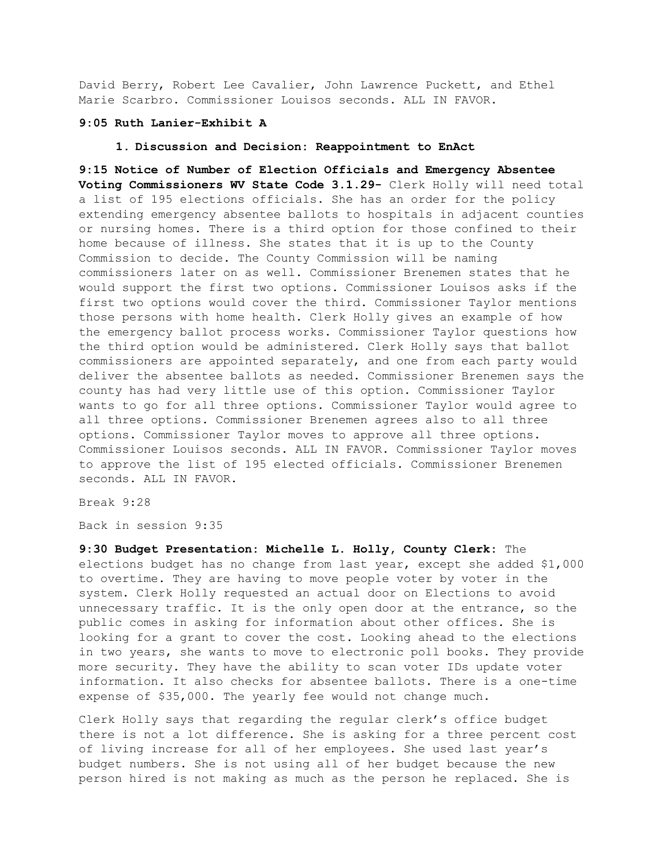David Berry, Robert Lee Cavalier, John Lawrence Puckett, and Ethel Marie Scarbro. Commissioner Louisos seconds. ALL IN FAVOR.

### **9:05 Ruth Lanier-Exhibit A**

### **1. Discussion and Decision: Reappointment to EnAct**

**9:15 Notice of Number of Election Officials and Emergency Absentee Voting Commissioners WV State Code 3.1.29-** Clerk Holly will need total a list of 195 elections officials. She has an order for the policy extending emergency absentee ballots to hospitals in adjacent counties or nursing homes. There is a third option for those confined to their home because of illness. She states that it is up to the County Commission to decide. The County Commission will be naming commissioners later on as well. Commissioner Brenemen states that he would support the first two options. Commissioner Louisos asks if the first two options would cover the third. Commissioner Taylor mentions those persons with home health. Clerk Holly gives an example of how the emergency ballot process works. Commissioner Taylor questions how the third option would be administered. Clerk Holly says that ballot commissioners are appointed separately, and one from each party would deliver the absentee ballots as needed. Commissioner Brenemen says the county has had very little use of this option. Commissioner Taylor wants to go for all three options. Commissioner Taylor would agree to all three options. Commissioner Brenemen agrees also to all three options. Commissioner Taylor moves to approve all three options. Commissioner Louisos seconds. ALL IN FAVOR. Commissioner Taylor moves to approve the list of 195 elected officials. Commissioner Brenemen seconds. ALL IN FAVOR.

Break 9:28

Back in session 9:35

**9:30 Budget Presentation: Michelle L. Holly, County Clerk:** The elections budget has no change from last year, except she added \$1,000 to overtime. They are having to move people voter by voter in the system. Clerk Holly requested an actual door on Elections to avoid unnecessary traffic. It is the only open door at the entrance, so the public comes in asking for information about other offices. She is looking for a grant to cover the cost. Looking ahead to the elections in two years, she wants to move to electronic poll books. They provide more security. They have the ability to scan voter IDs update voter information. It also checks for absentee ballots. There is a one-time expense of \$35,000. The yearly fee would not change much.

Clerk Holly says that regarding the regular clerk's office budget there is not a lot difference. She is asking for a three percent cost of living increase for all of her employees. She used last year's budget numbers. She is not using all of her budget because the new person hired is not making as much as the person he replaced. She is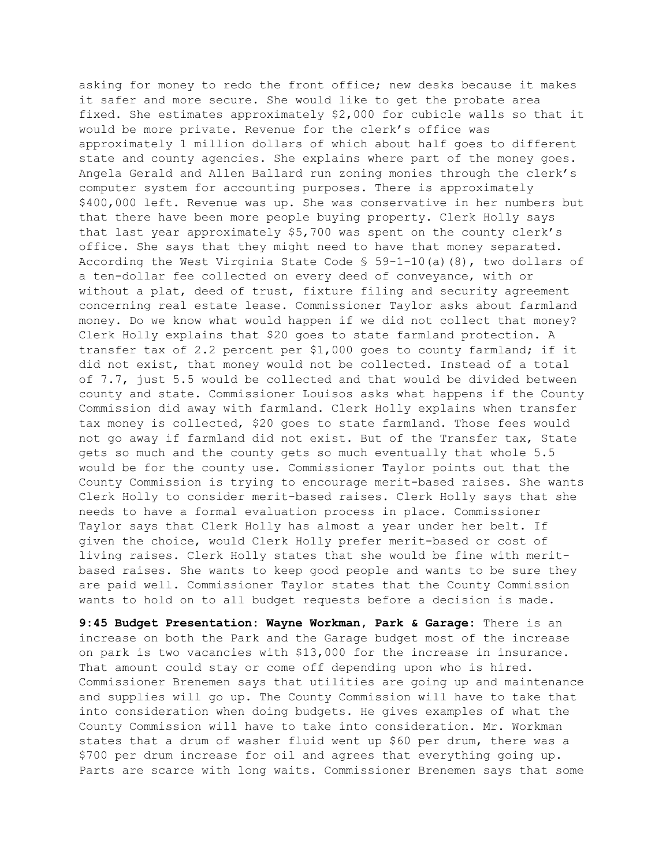asking for money to redo the front office; new desks because it makes it safer and more secure. She would like to get the probate area fixed. She estimates approximately \$2,000 for cubicle walls so that it would be more private. Revenue for the clerk's office was approximately 1 million dollars of which about half goes to different state and county agencies. She explains where part of the money goes. Angela Gerald and Allen Ballard run zoning monies through the clerk's computer system for accounting purposes. There is approximately \$400,000 left. Revenue was up. She was conservative in her numbers but that there have been more people buying property. Clerk Holly says that last year approximately \$5,700 was spent on the county clerk's office. She says that they might need to have that money separated. According the West Virginia State Code  $\frac{1}{5}$  59-1-10(a)(8), two dollars of a ten-dollar fee collected on every deed of conveyance, with or without a plat, deed of trust, fixture filing and security agreement concerning real estate lease. Commissioner Taylor asks about farmland money. Do we know what would happen if we did not collect that money? Clerk Holly explains that \$20 goes to state farmland protection. A transfer tax of 2.2 percent per \$1,000 goes to county farmland; if it did not exist, that money would not be collected. Instead of a total of 7.7, just 5.5 would be collected and that would be divided between county and state. Commissioner Louisos asks what happens if the County Commission did away with farmland. Clerk Holly explains when transfer tax money is collected, \$20 goes to state farmland. Those fees would not go away if farmland did not exist. But of the Transfer tax, State gets so much and the county gets so much eventually that whole 5.5 would be for the county use. Commissioner Taylor points out that the County Commission is trying to encourage merit-based raises. She wants Clerk Holly to consider merit-based raises. Clerk Holly says that she needs to have a formal evaluation process in place. Commissioner Taylor says that Clerk Holly has almost a year under her belt. If given the choice, would Clerk Holly prefer merit-based or cost of living raises. Clerk Holly states that she would be fine with meritbased raises. She wants to keep good people and wants to be sure they are paid well. Commissioner Taylor states that the County Commission wants to hold on to all budget requests before a decision is made.

**9:45 Budget Presentation: Wayne Workman, Park & Garage:** There is an increase on both the Park and the Garage budget most of the increase on park is two vacancies with \$13,000 for the increase in insurance. That amount could stay or come off depending upon who is hired. Commissioner Brenemen says that utilities are going up and maintenance and supplies will go up. The County Commission will have to take that into consideration when doing budgets. He gives examples of what the County Commission will have to take into consideration. Mr. Workman states that a drum of washer fluid went up \$60 per drum, there was a \$700 per drum increase for oil and agrees that everything going up. Parts are scarce with long waits. Commissioner Brenemen says that some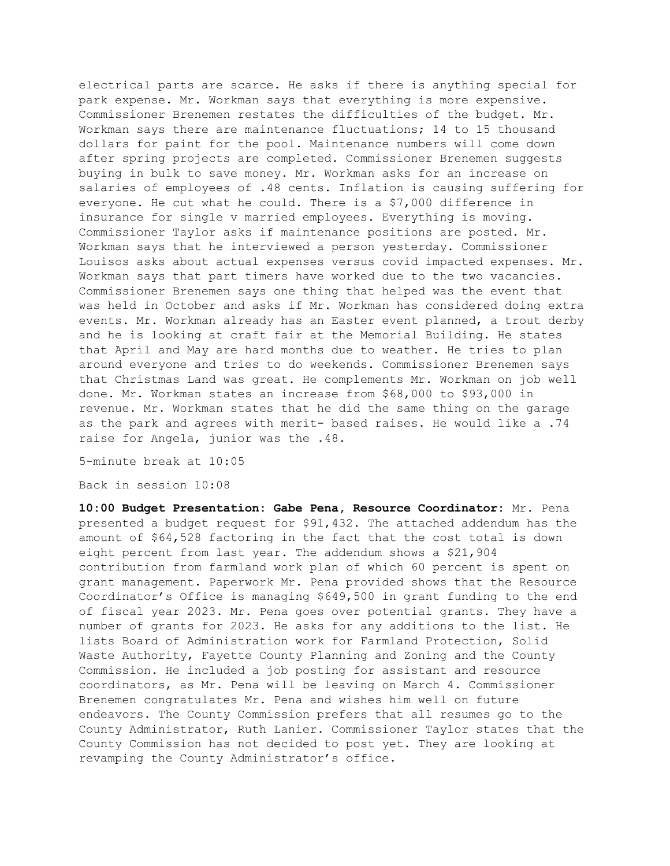electrical parts are scarce. He asks if there is anything special for park expense. Mr. Workman says that everything is more expensive. Commissioner Brenemen restates the difficulties of the budget. Mr. Workman says there are maintenance fluctuations; 14 to 15 thousand dollars for paint for the pool. Maintenance numbers will come down after spring projects are completed. Commissioner Brenemen suggests buying in bulk to save money. Mr. Workman asks for an increase on salaries of employees of .48 cents. Inflation is causing suffering for everyone. He cut what he could. There is a \$7,000 difference in insurance for single v married employees. Everything is moving. Commissioner Taylor asks if maintenance positions are posted. Mr. Workman says that he interviewed a person yesterday. Commissioner Louisos asks about actual expenses versus covid impacted expenses. Mr. Workman says that part timers have worked due to the two vacancies. Commissioner Brenemen says one thing that helped was the event that was held in October and asks if Mr. Workman has considered doing extra events. Mr. Workman already has an Easter event planned, a trout derby and he is looking at craft fair at the Memorial Building. He states that April and May are hard months due to weather. He tries to plan around everyone and tries to do weekends. Commissioner Brenemen says that Christmas Land was great. He complements Mr. Workman on job well done. Mr. Workman states an increase from \$68,000 to \$93,000 in revenue. Mr. Workman states that he did the same thing on the garage as the park and agrees with merit- based raises. He would like a .74 raise for Angela, junior was the .48.

5-minute break at 10:05

Back in session 10:08

**10:00 Budget Presentation: Gabe Pena, Resource Coordinator:** Mr. Pena presented a budget request for \$91,432. The attached addendum has the amount of \$64,528 factoring in the fact that the cost total is down eight percent from last year**.** The addendum shows a \$21,904 contribution from farmland work plan of which 60 percent is spent on grant management. Paperwork Mr. Pena provided shows that the Resource Coordinator's Office is managing \$649,500 in grant funding to the end of fiscal year 2023. Mr. Pena goes over potential grants. They have a number of grants for 2023. He asks for any additions to the list. He lists Board of Administration work for Farmland Protection, Solid Waste Authority, Fayette County Planning and Zoning and the County Commission. He included a job posting for assistant and resource coordinators, as Mr. Pena will be leaving on March 4. Commissioner Brenemen congratulates Mr. Pena and wishes him well on future endeavors. The County Commission prefers that all resumes go to the County Administrator, Ruth Lanier. Commissioner Taylor states that the County Commission has not decided to post yet. They are looking at revamping the County Administrator's office.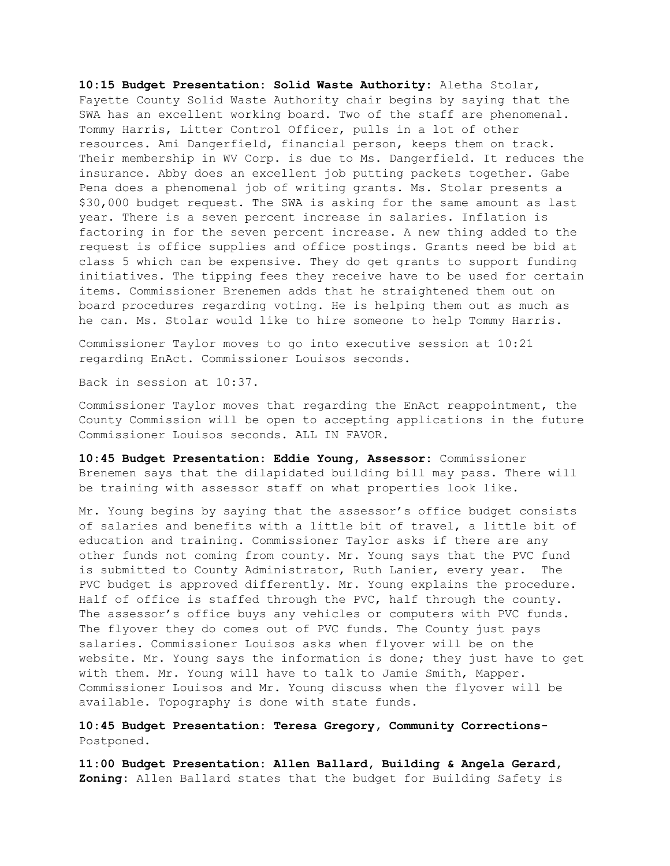**10:15 Budget Presentation: Solid Waste Authority:** Aletha Stolar, Fayette County Solid Waste Authority chair begins by saying that the SWA has an excellent working board. Two of the staff are phenomenal. Tommy Harris, Litter Control Officer, pulls in a lot of other resources. Ami Dangerfield, financial person, keeps them on track. Their membership in WV Corp. is due to Ms. Dangerfield. It reduces the insurance. Abby does an excellent job putting packets together. Gabe Pena does a phenomenal job of writing grants. Ms. Stolar presents a \$30,000 budget request. The SWA is asking for the same amount as last year. There is a seven percent increase in salaries. Inflation is factoring in for the seven percent increase. A new thing added to the request is office supplies and office postings. Grants need be bid at class 5 which can be expensive. They do get grants to support funding initiatives. The tipping fees they receive have to be used for certain items. Commissioner Brenemen adds that he straightened them out on board procedures regarding voting. He is helping them out as much as he can. Ms. Stolar would like to hire someone to help Tommy Harris.

Commissioner Taylor moves to go into executive session at 10:21 regarding EnAct. Commissioner Louisos seconds.

Back in session at 10:37.

Commissioner Taylor moves that regarding the EnAct reappointment, the County Commission will be open to accepting applications in the future Commissioner Louisos seconds. ALL IN FAVOR.

**10:45 Budget Presentation: Eddie Young, Assessor:** Commissioner Brenemen says that the dilapidated building bill may pass. There will be training with assessor staff on what properties look like.

Mr. Young begins by saying that the assessor's office budget consists of salaries and benefits with a little bit of travel, a little bit of education and training. Commissioner Taylor asks if there are any other funds not coming from county. Mr. Young says that the PVC fund is submitted to County Administrator, Ruth Lanier, every year. The PVC budget is approved differently. Mr. Young explains the procedure. Half of office is staffed through the PVC, half through the county. The assessor's office buys any vehicles or computers with PVC funds. The flyover they do comes out of PVC funds. The County just pays salaries. Commissioner Louisos asks when flyover will be on the website. Mr. Young says the information is done; they just have to get with them. Mr. Young will have to talk to Jamie Smith, Mapper. Commissioner Louisos and Mr. Young discuss when the flyover will be available. Topography is done with state funds**.**

**10:45 Budget Presentation: Teresa Gregory, Community Corrections-**Postponed.

**11:00 Budget Presentation: Allen Ballard, Building & Angela Gerard, Zoning:** Allen Ballard states that the budget for Building Safety is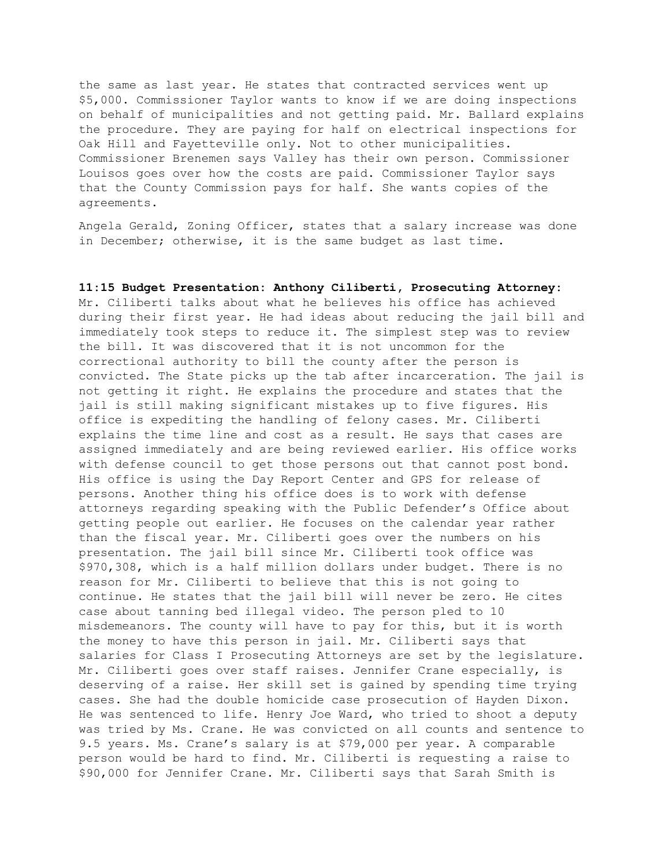the same as last year. He states that contracted services went up \$5,000. Commissioner Taylor wants to know if we are doing inspections on behalf of municipalities and not getting paid. Mr. Ballard explains the procedure. They are paying for half on electrical inspections for Oak Hill and Fayetteville only. Not to other municipalities. Commissioner Brenemen says Valley has their own person. Commissioner Louisos goes over how the costs are paid. Commissioner Taylor says that the County Commission pays for half. She wants copies of the agreements.

Angela Gerald, Zoning Officer, states that a salary increase was done in December; otherwise, it is the same budget as last time.

### **11:15 Budget Presentation: Anthony Ciliberti, Prosecuting Attorney:**

Mr. Ciliberti talks about what he believes his office has achieved during their first year. He had ideas about reducing the jail bill and immediately took steps to reduce it. The simplest step was to review the bill. It was discovered that it is not uncommon for the correctional authority to bill the county after the person is convicted. The State picks up the tab after incarceration. The jail is not getting it right. He explains the procedure and states that the jail is still making significant mistakes up to five figures. His office is expediting the handling of felony cases. Mr. Ciliberti explains the time line and cost as a result. He says that cases are assigned immediately and are being reviewed earlier. His office works with defense council to get those persons out that cannot post bond. His office is using the Day Report Center and GPS for release of persons. Another thing his office does is to work with defense attorneys regarding speaking with the Public Defender's Office about getting people out earlier. He focuses on the calendar year rather than the fiscal year. Mr. Ciliberti goes over the numbers on his presentation. The jail bill since Mr. Ciliberti took office was \$970,308, which is a half million dollars under budget. There is no reason for Mr. Ciliberti to believe that this is not going to continue. He states that the jail bill will never be zero. He cites case about tanning bed illegal video. The person pled to 10 misdemeanors. The county will have to pay for this, but it is worth the money to have this person in jail. Mr. Ciliberti says that salaries for Class I Prosecuting Attorneys are set by the legislature. Mr. Ciliberti goes over staff raises. Jennifer Crane especially, is deserving of a raise. Her skill set is gained by spending time trying cases. She had the double homicide case prosecution of Hayden Dixon. He was sentenced to life. Henry Joe Ward, who tried to shoot a deputy was tried by Ms. Crane. He was convicted on all counts and sentence to 9.5 years. Ms. Crane's salary is at \$79,000 per year. A comparable person would be hard to find. Mr. Ciliberti is requesting a raise to \$90,000 for Jennifer Crane. Mr. Ciliberti says that Sarah Smith is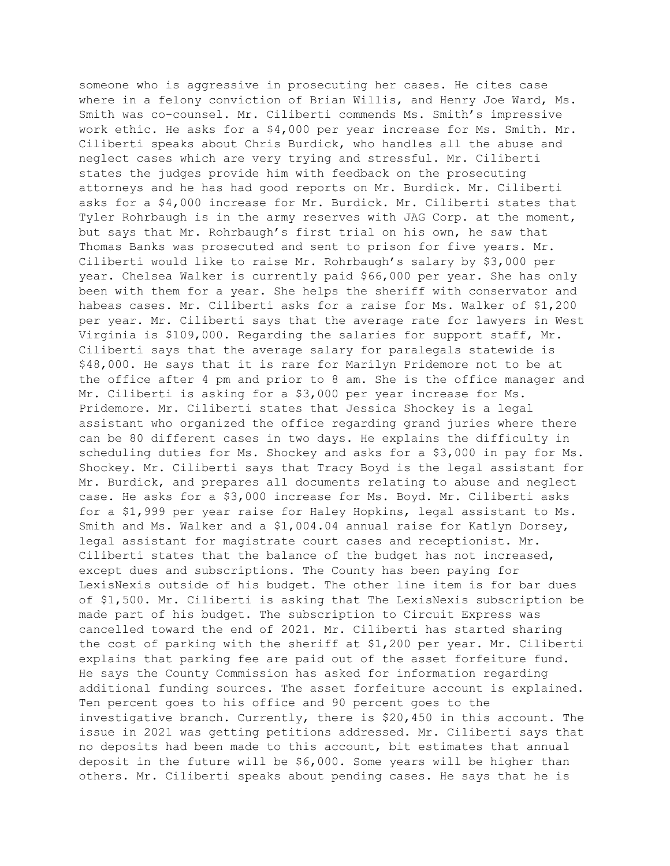someone who is aggressive in prosecuting her cases. He cites case where in a felony conviction of Brian Willis, and Henry Joe Ward, Ms. Smith was co-counsel. Mr. Ciliberti commends Ms. Smith's impressive work ethic. He asks for a \$4,000 per year increase for Ms. Smith. Mr. Ciliberti speaks about Chris Burdick, who handles all the abuse and neglect cases which are very trying and stressful. Mr. Ciliberti states the judges provide him with feedback on the prosecuting attorneys and he has had good reports on Mr. Burdick. Mr. Ciliberti asks for a \$4,000 increase for Mr. Burdick. Mr. Ciliberti states that Tyler Rohrbaugh is in the army reserves with JAG Corp. at the moment, but says that Mr. Rohrbaugh's first trial on his own, he saw that Thomas Banks was prosecuted and sent to prison for five years. Mr. Ciliberti would like to raise Mr. Rohrbaugh's salary by \$3,000 per year. Chelsea Walker is currently paid \$66,000 per year. She has only been with them for a year. She helps the sheriff with conservator and habeas cases. Mr. Ciliberti asks for a raise for Ms. Walker of \$1,200 per year. Mr. Ciliberti says that the average rate for lawyers in West Virginia is \$109,000. Regarding the salaries for support staff, Mr. Ciliberti says that the average salary for paralegals statewide is \$48,000. He says that it is rare for Marilyn Pridemore not to be at the office after 4 pm and prior to 8 am. She is the office manager and Mr. Ciliberti is asking for a \$3,000 per year increase for Ms. Pridemore. Mr. Ciliberti states that Jessica Shockey is a legal assistant who organized the office regarding grand juries where there can be 80 different cases in two days. He explains the difficulty in scheduling duties for Ms. Shockey and asks for a \$3,000 in pay for Ms. Shockey. Mr. Ciliberti says that Tracy Boyd is the legal assistant for Mr. Burdick, and prepares all documents relating to abuse and neglect case. He asks for a \$3,000 increase for Ms. Boyd. Mr. Ciliberti asks for a \$1,999 per year raise for Haley Hopkins, legal assistant to Ms. Smith and Ms. Walker and a \$1,004.04 annual raise for Katlyn Dorsey, legal assistant for magistrate court cases and receptionist. Mr. Ciliberti states that the balance of the budget has not increased, except dues and subscriptions. The County has been paying for LexisNexis outside of his budget. The other line item is for bar dues of \$1,500. Mr. Ciliberti is asking that The LexisNexis subscription be made part of his budget. The subscription to Circuit Express was cancelled toward the end of 2021. Mr. Ciliberti has started sharing the cost of parking with the sheriff at \$1,200 per year. Mr. Ciliberti explains that parking fee are paid out of the asset forfeiture fund. He says the County Commission has asked for information regarding additional funding sources. The asset forfeiture account is explained. Ten percent goes to his office and 90 percent goes to the investigative branch. Currently, there is \$20,450 in this account. The issue in 2021 was getting petitions addressed. Mr. Ciliberti says that no deposits had been made to this account, bit estimates that annual deposit in the future will be \$6,000. Some years will be higher than others. Mr. Ciliberti speaks about pending cases. He says that he is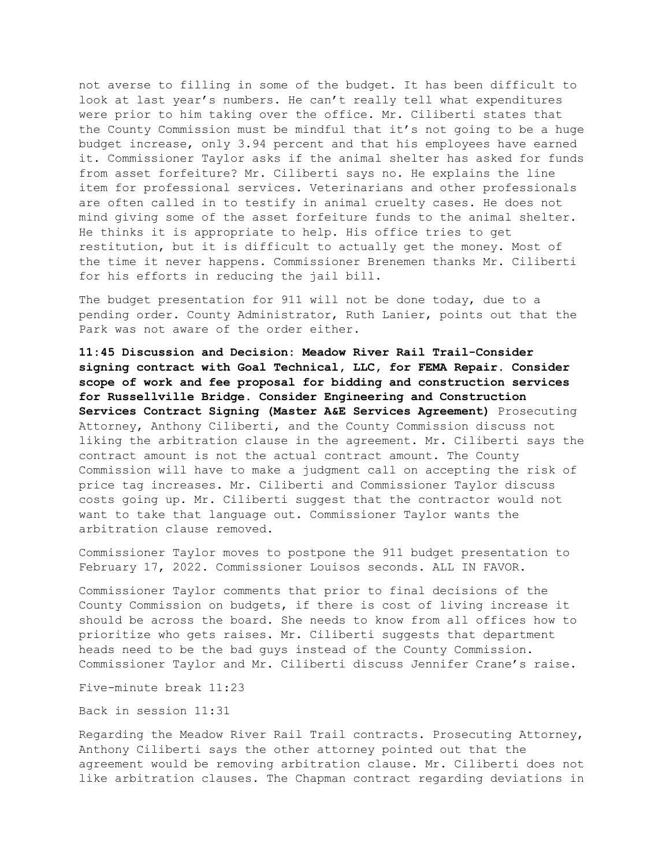not averse to filling in some of the budget. It has been difficult to look at last year's numbers. He can't really tell what expenditures were prior to him taking over the office. Mr. Ciliberti states that the County Commission must be mindful that it's not going to be a huge budget increase, only 3.94 percent and that his employees have earned it. Commissioner Taylor asks if the animal shelter has asked for funds from asset forfeiture? Mr. Ciliberti says no. He explains the line item for professional services. Veterinarians and other professionals are often called in to testify in animal cruelty cases. He does not mind giving some of the asset forfeiture funds to the animal shelter. He thinks it is appropriate to help. His office tries to get restitution, but it is difficult to actually get the money. Most of the time it never happens. Commissioner Brenemen thanks Mr. Ciliberti for his efforts in reducing the jail bill.

The budget presentation for 911 will not be done today, due to a pending order. County Administrator, Ruth Lanier, points out that the Park was not aware of the order either.

**11:45 Discussion and Decision: Meadow River Rail Trail-Consider signing contract with Goal Technical, LLC, for FEMA Repair. Consider scope of work and fee proposal for bidding and construction services for Russellville Bridge. Consider Engineering and Construction Services Contract Signing (Master A&E Services Agreement)** Prosecuting Attorney, Anthony Ciliberti, and the County Commission discuss not liking the arbitration clause in the agreement. Mr. Ciliberti says the contract amount is not the actual contract amount. The County Commission will have to make a judgment call on accepting the risk of price tag increases. Mr. Ciliberti and Commissioner Taylor discuss costs going up. Mr. Ciliberti suggest that the contractor would not want to take that language out. Commissioner Taylor wants the arbitration clause removed.

Commissioner Taylor moves to postpone the 911 budget presentation to February 17, 2022. Commissioner Louisos seconds. ALL IN FAVOR.

Commissioner Taylor comments that prior to final decisions of the County Commission on budgets, if there is cost of living increase it should be across the board. She needs to know from all offices how to prioritize who gets raises. Mr. Ciliberti suggests that department heads need to be the bad guys instead of the County Commission. Commissioner Taylor and Mr. Ciliberti discuss Jennifer Crane's raise.

Five-minute break 11:23

Back in session 11:31

Regarding the Meadow River Rail Trail contracts. Prosecuting Attorney, Anthony Ciliberti says the other attorney pointed out that the agreement would be removing arbitration clause. Mr. Ciliberti does not like arbitration clauses. The Chapman contract regarding deviations in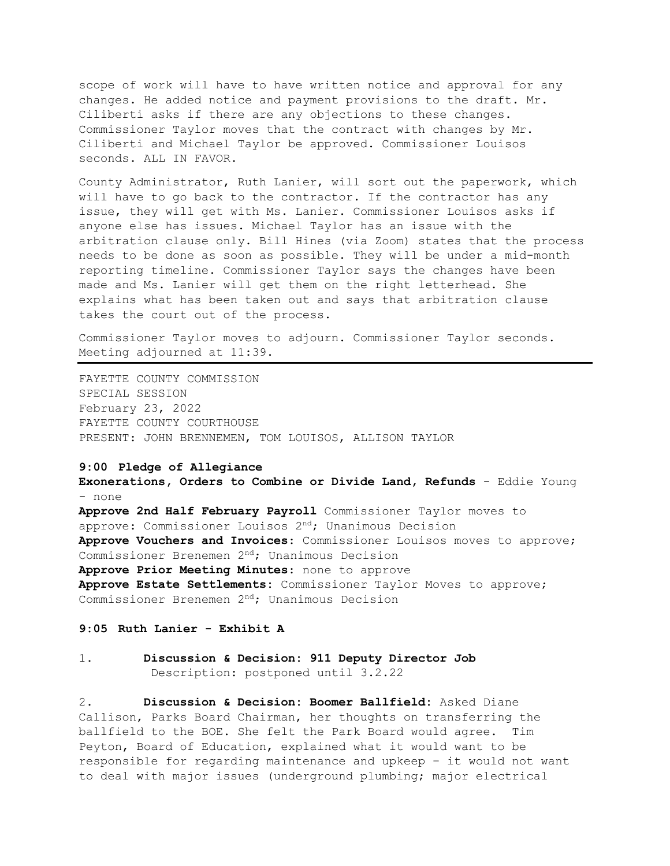scope of work will have to have written notice and approval for any changes. He added notice and payment provisions to the draft. Mr. Ciliberti asks if there are any objections to these changes. Commissioner Taylor moves that the contract with changes by Mr. Ciliberti and Michael Taylor be approved. Commissioner Louisos seconds. ALL IN FAVOR.

County Administrator, Ruth Lanier, will sort out the paperwork, which will have to go back to the contractor. If the contractor has any issue, they will get with Ms. Lanier. Commissioner Louisos asks if anyone else has issues. Michael Taylor has an issue with the arbitration clause only. Bill Hines (via Zoom) states that the process needs to be done as soon as possible. They will be under a mid-month reporting timeline. Commissioner Taylor says the changes have been made and Ms. Lanier will get them on the right letterhead. She explains what has been taken out and says that arbitration clause takes the court out of the process.

Commissioner Taylor moves to adjourn. Commissioner Taylor seconds. Meeting adjourned at 11:39.

FAYETTE COUNTY COMMISSION SPECIAL SESSION February 23, 2022 FAYETTE COUNTY COURTHOUSE PRESENT: JOHN BRENNEMEN, TOM LOUISOS, ALLISON TAYLOR

### **9:00 Pledge of Allegiance**

**Exonerations, Orders to Combine or Divide Land, Refunds** - Eddie Young - none **Approve 2nd Half February Payroll** Commissioner Taylor moves to approve: Commissioner Louisos 2nd; Unanimous Decision **Approve Vouchers and Invoices**: Commissioner Louisos moves to approve; Commissioner Brenemen 2nd; Unanimous Decision **Approve Prior Meeting Minutes**: none to approve **Approve Estate Settlements:** Commissioner Taylor Moves to approve; Commissioner Brenemen 2<sup>nd</sup>; Unanimous Decision

## **9:05 Ruth Lanier - Exhibit A**

## 1. **Discussion & Decision: 911 Deputy Director Job** Description: postponed until 3.2.22

2. **Discussion & Decision: Boomer Ballfield:** Asked Diane Callison, Parks Board Chairman, her thoughts on transferring the ballfield to the BOE. She felt the Park Board would agree. Tim Peyton, Board of Education, explained what it would want to be responsible for regarding maintenance and upkeep – it would not want to deal with major issues (underground plumbing; major electrical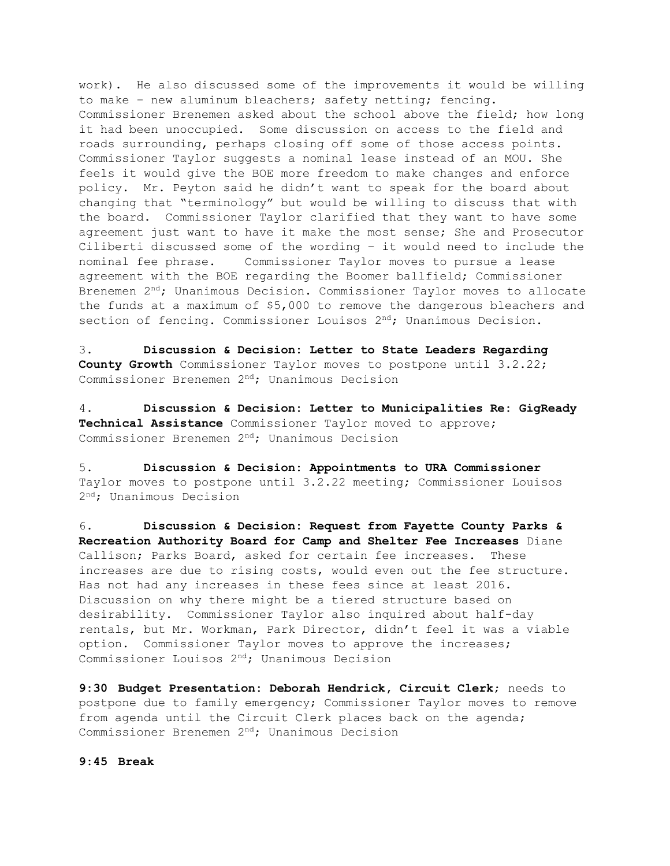work). He also discussed some of the improvements it would be willing to make – new aluminum bleachers; safety netting; fencing. Commissioner Brenemen asked about the school above the field; how long it had been unoccupied. Some discussion on access to the field and roads surrounding, perhaps closing off some of those access points. Commissioner Taylor suggests a nominal lease instead of an MOU. She feels it would give the BOE more freedom to make changes and enforce policy. Mr. Peyton said he didn't want to speak for the board about changing that "terminology" but would be willing to discuss that with the board. Commissioner Taylor clarified that they want to have some agreement just want to have it make the most sense; She and Prosecutor Ciliberti discussed some of the wording – it would need to include the nominal fee phrase. Commissioner Taylor moves to pursue a lease agreement with the BOE regarding the Boomer ballfield; Commissioner Brenemen  $2^{nd}$ ; Unanimous Decision. Commissioner Taylor moves to allocate the funds at a maximum of \$5,000 to remove the dangerous bleachers and section of fencing. Commissioner Louisos  $2<sup>nd</sup>$ ; Unanimous Decision.

3. **Discussion & Decision: Letter to State Leaders Regarding County Growth** Commissioner Taylor moves to postpone until 3.2.22; Commissioner Brenemen 2nd; Unanimous Decision

4. **Discussion & Decision: Letter to Municipalities Re: GigReady Technical Assistance** Commissioner Taylor moved to approve; Commissioner Brenemen 2nd; Unanimous Decision

5. **Discussion & Decision: Appointments to URA Commissioner** Taylor moves to postpone until 3.2.22 meeting; Commissioner Louisos 2<sup>nd</sup>; Unanimous Decision

6. **Discussion & Decision: Request from Fayette County Parks & Recreation Authority Board for Camp and Shelter Fee Increases** Diane Callison; Parks Board, asked for certain fee increases. These increases are due to rising costs, would even out the fee structure. Has not had any increases in these fees since at least 2016. Discussion on why there might be a tiered structure based on desirability. Commissioner Taylor also inquired about half-day rentals, but Mr. Workman, Park Director, didn't feel it was a viable option. Commissioner Taylor moves to approve the increases; Commissioner Louisos 2nd; Unanimous Decision

**9:30 Budget Presentation: Deborah Hendrick, Circuit Clerk**; needs to postpone due to family emergency; Commissioner Taylor moves to remove from agenda until the Circuit Clerk places back on the agenda; Commissioner Brenemen 2<sup>nd</sup>; Unanimous Decision

**9:45 Break**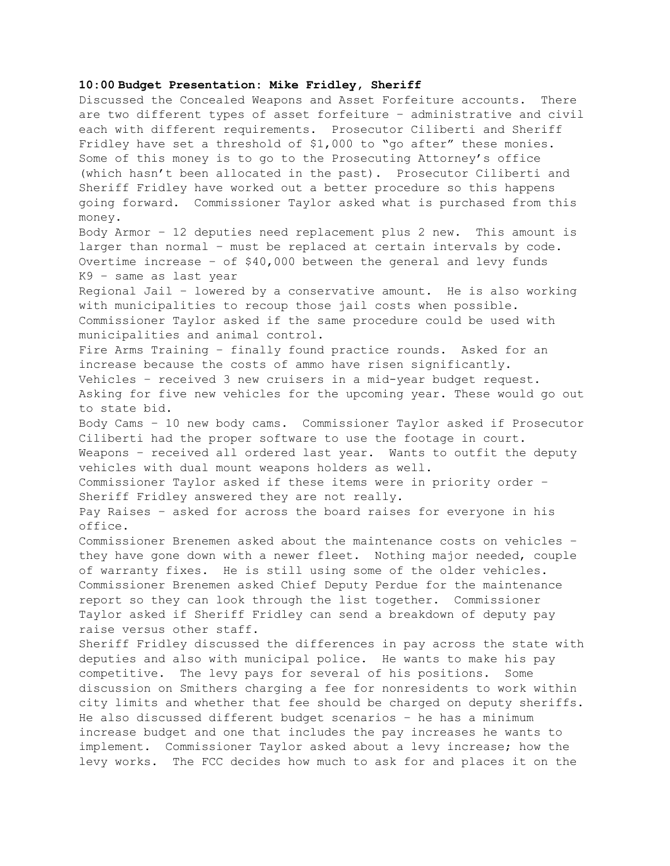### **10:00 Budget Presentation: Mike Fridley, Sheriff**

Discussed the Concealed Weapons and Asset Forfeiture accounts. There are two different types of asset forfeiture – administrative and civil each with different requirements. Prosecutor Ciliberti and Sheriff Fridley have set a threshold of \$1,000 to "go after" these monies. Some of this money is to go to the Prosecuting Attorney's office (which hasn't been allocated in the past). Prosecutor Ciliberti and Sheriff Fridley have worked out a better procedure so this happens going forward. Commissioner Taylor asked what is purchased from this money. Body Armor – 12 deputies need replacement plus 2 new. This amount is larger than normal – must be replaced at certain intervals by code. Overtime increase – of \$40,000 between the general and levy funds K9 – same as last year Regional Jail – lowered by a conservative amount. He is also working with municipalities to recoup those jail costs when possible. Commissioner Taylor asked if the same procedure could be used with municipalities and animal control. Fire Arms Training – finally found practice rounds. Asked for an increase because the costs of ammo have risen significantly. Vehicles – received 3 new cruisers in a mid-year budget request. Asking for five new vehicles for the upcoming year. These would go out to state bid. Body Cams – 10 new body cams. Commissioner Taylor asked if Prosecutor Ciliberti had the proper software to use the footage in court. Weapons – received all ordered last year. Wants to outfit the deputy vehicles with dual mount weapons holders as well. Commissioner Taylor asked if these items were in priority order – Sheriff Fridley answered they are not really. Pay Raises – asked for across the board raises for everyone in his office. Commissioner Brenemen asked about the maintenance costs on vehicles – they have gone down with a newer fleet. Nothing major needed, couple of warranty fixes. He is still using some of the older vehicles. Commissioner Brenemen asked Chief Deputy Perdue for the maintenance report so they can look through the list together. Commissioner Taylor asked if Sheriff Fridley can send a breakdown of deputy pay raise versus other staff. Sheriff Fridley discussed the differences in pay across the state with deputies and also with municipal police. He wants to make his pay competitive. The levy pays for several of his positions. Some discussion on Smithers charging a fee for nonresidents to work within city limits and whether that fee should be charged on deputy sheriffs. He also discussed different budget scenarios – he has a minimum increase budget and one that includes the pay increases he wants to implement. Commissioner Taylor asked about a levy increase; how the levy works. The FCC decides how much to ask for and places it on the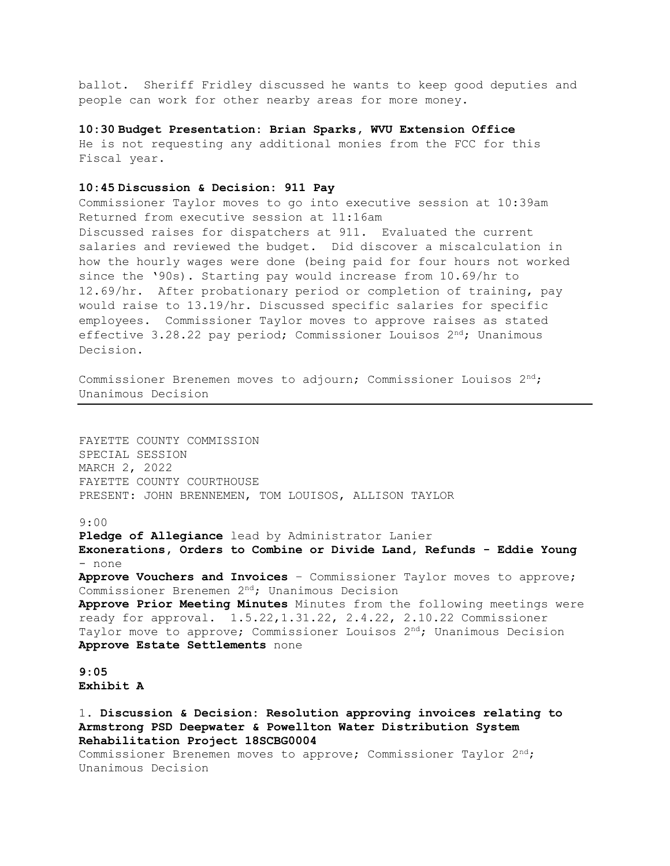ballot. Sheriff Fridley discussed he wants to keep good deputies and people can work for other nearby areas for more money.

**10:30 Budget Presentation: Brian Sparks, WVU Extension Office**

He is not requesting any additional monies from the FCC for this Fiscal year.

## **10:45 Discussion & Decision: 911 Pay**

Commissioner Taylor moves to go into executive session at 10:39am Returned from executive session at 11:16am Discussed raises for dispatchers at 911. Evaluated the current salaries and reviewed the budget. Did discover a miscalculation in how the hourly wages were done (being paid for four hours not worked since the '90s). Starting pay would increase from 10.69/hr to 12.69/hr. After probationary period or completion of training, pay would raise to 13.19/hr. Discussed specific salaries for specific employees. Commissioner Taylor moves to approve raises as stated effective 3.28.22 pay period; Commissioner Louisos  $2<sup>nd</sup>$ ; Unanimous Decision.

Commissioner Brenemen moves to adjourn; Commissioner Louisos  $2<sup>nd</sup>$ ; Unanimous Decision

FAYETTE COUNTY COMMISSION SPECIAL SESSION MARCH 2, 2022 FAYETTE COUNTY COURTHOUSE PRESENT: JOHN BRENNEMEN, TOM LOUISOS, ALLISON TAYLOR

### 9:00

**Pledge of Allegiance** lead by Administrator Lanier **Exonerations, Orders to Combine or Divide Land, Refunds - Eddie Young**  - none **Approve Vouchers and Invoices** – Commissioner Taylor moves to approve; Commissioner Brenemen 2nd; Unanimous Decision **Approve Prior Meeting Minutes** Minutes from the following meetings were ready for approval. 1.5.22,1.31.22, 2.4.22, 2.10.22 Commissioner Taylor move to approve; Commissioner Louisos 2<sup>nd</sup>; Unanimous Decision **Approve Estate Settlements** none

## **9:05 Exhibit A**

1. **Discussion & Decision: Resolution approving invoices relating to Armstrong PSD Deepwater & Powellton Water Distribution System Rehabilitation Project 18SCBG0004** Commissioner Brenemen moves to approve; Commissioner Taylor 2nd;

Unanimous Decision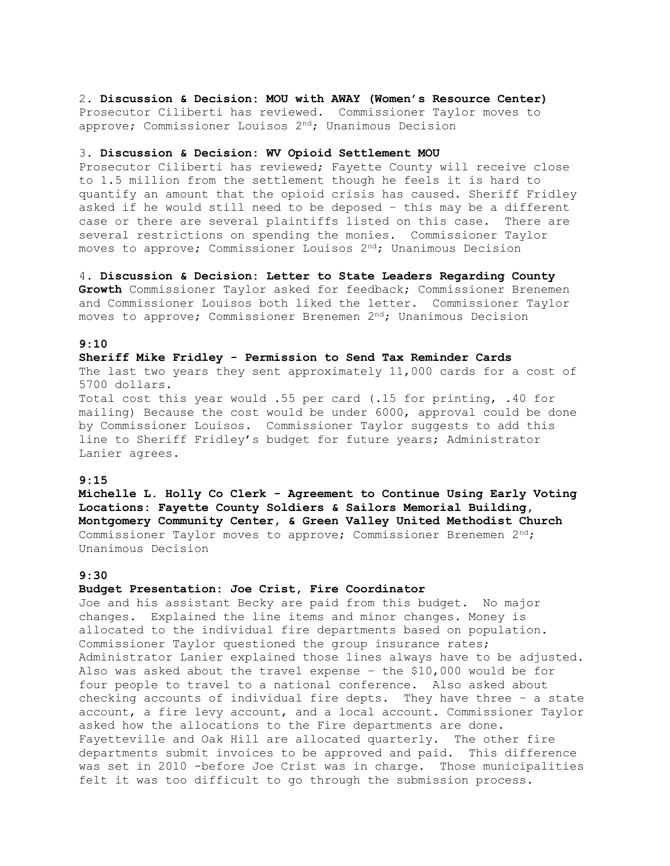2. **Discussion & Decision: MOU with AWAY (Women's Resource Center)** Prosecutor Ciliberti has reviewed. Commissioner Taylor moves to approve; Commissioner Louisos 2<sup>nd</sup>; Unanimous Decision

#### 3. **Discussion & Decision: WV Opioid Settlement MOU**

Prosecutor Ciliberti has reviewed; Fayette County will receive close to 1.5 million from the settlement though he feels it is hard to quantify an amount that the opioid crisis has caused. Sheriff Fridley asked if he would still need to be deposed – this may be a different case or there are several plaintiffs listed on this case. There are several restrictions on spending the monies. Commissioner Taylor moves to approve; Commissioner Louisos  $2<sup>nd</sup>$ ; Unanimous Decision

### 4. **Discussion & Decision: Letter to State Leaders Regarding County**

**Growth** Commissioner Taylor asked for feedback; Commissioner Brenemen and Commissioner Louisos both liked the letter. Commissioner Taylor moves to approve; Commissioner Brenemen 2<sup>nd</sup>; Unanimous Decision

### **9:10**

### **Sheriff Mike Fridley - Permission to Send Tax Reminder Cards**

The last two years they sent approximately 11,000 cards for a cost of 5700 dollars.

Total cost this year would .55 per card (.15 for printing, .40 for mailing) Because the cost would be under 6000, approval could be done by Commissioner Louisos. Commissioner Taylor suggests to add this line to Sheriff Fridley's budget for future years; Administrator Lanier agrees.

### **9:15**

**Michelle L. Holly Co Clerk - Agreement to Continue Using Early Voting Locations: Fayette County Soldiers & Sailors Memorial Building, Montgomery Community Center, & Green Valley United Methodist Church** Commissioner Taylor moves to approve; Commissioner Brenemen 2nd; Unanimous Decision

#### **9:30**

### **Budget Presentation: Joe Crist, Fire Coordinator**

Joe and his assistant Becky are paid from this budget. No major changes. Explained the line items and minor changes. Money is allocated to the individual fire departments based on population. Commissioner Taylor questioned the group insurance rates; Administrator Lanier explained those lines always have to be adjusted. Also was asked about the travel expense – the \$10,000 would be for four people to travel to a national conference. Also asked about checking accounts of individual fire depts. They have three – a state account, a fire levy account, and a local account. Commissioner Taylor asked how the allocations to the Fire departments are done. Fayetteville and Oak Hill are allocated quarterly. The other fire departments submit invoices to be approved and paid. This difference was set in 2010 -before Joe Crist was in charge. Those municipalities felt it was too difficult to go through the submission process.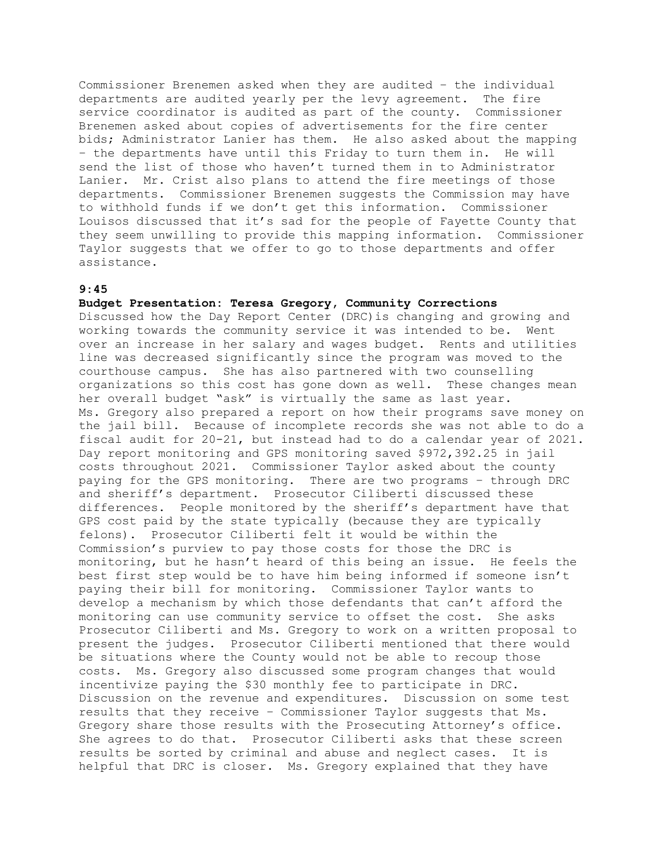Commissioner Brenemen asked when they are audited – the individual departments are audited yearly per the levy agreement. The fire service coordinator is audited as part of the county. Commissioner Brenemen asked about copies of advertisements for the fire center bids; Administrator Lanier has them. He also asked about the mapping – the departments have until this Friday to turn them in. He will send the list of those who haven't turned them in to Administrator Lanier. Mr. Crist also plans to attend the fire meetings of those departments. Commissioner Brenemen suggests the Commission may have to withhold funds if we don't get this information. Commissioner Louisos discussed that it's sad for the people of Fayette County that they seem unwilling to provide this mapping information. Commissioner Taylor suggests that we offer to go to those departments and offer assistance.

## **9:45**

## **Budget Presentation: Teresa Gregory, Community Corrections**

Discussed how the Day Report Center (DRC)is changing and growing and working towards the community service it was intended to be. Went over an increase in her salary and wages budget. Rents and utilities line was decreased significantly since the program was moved to the courthouse campus. She has also partnered with two counselling organizations so this cost has gone down as well. These changes mean her overall budget "ask" is virtually the same as last year. Ms. Gregory also prepared a report on how their programs save money on the jail bill. Because of incomplete records she was not able to do a fiscal audit for 20-21, but instead had to do a calendar year of 2021. Day report monitoring and GPS monitoring saved \$972,392.25 in jail costs throughout 2021. Commissioner Taylor asked about the county paying for the GPS monitoring. There are two programs – through DRC and sheriff's department. Prosecutor Ciliberti discussed these differences. People monitored by the sheriff's department have that GPS cost paid by the state typically (because they are typically felons). Prosecutor Ciliberti felt it would be within the Commission's purview to pay those costs for those the DRC is monitoring, but he hasn't heard of this being an issue. He feels the best first step would be to have him being informed if someone isn't paying their bill for monitoring. Commissioner Taylor wants to develop a mechanism by which those defendants that can't afford the monitoring can use community service to offset the cost. She asks Prosecutor Ciliberti and Ms. Gregory to work on a written proposal to present the judges. Prosecutor Ciliberti mentioned that there would be situations where the County would not be able to recoup those costs. Ms. Gregory also discussed some program changes that would incentivize paying the \$30 monthly fee to participate in DRC. Discussion on the revenue and expenditures. Discussion on some test results that they receive – Commissioner Taylor suggests that Ms. Gregory share those results with the Prosecuting Attorney's office. She agrees to do that. Prosecutor Ciliberti asks that these screen results be sorted by criminal and abuse and neglect cases. It is helpful that DRC is closer. Ms. Gregory explained that they have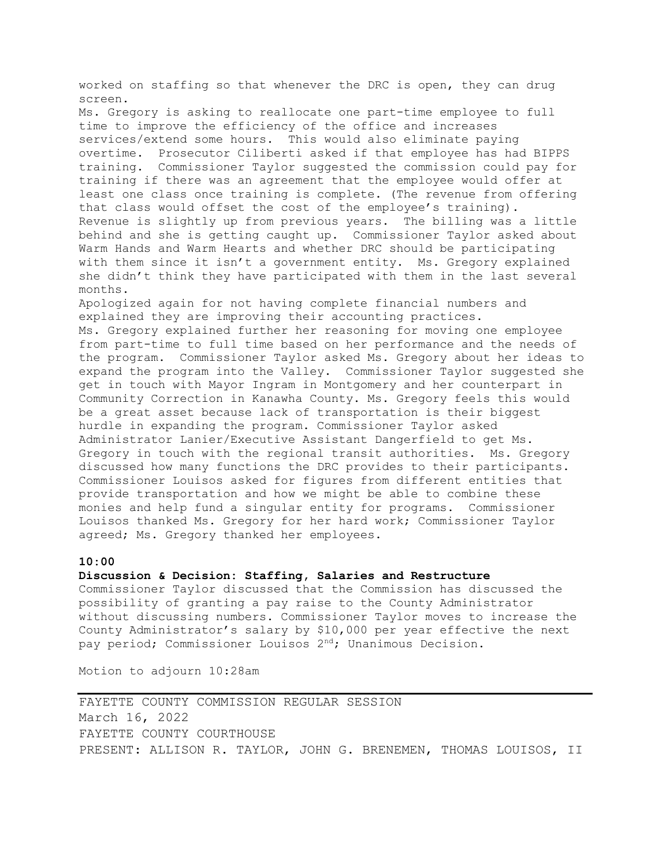worked on staffing so that whenever the DRC is open, they can drug screen. Ms. Gregory is asking to reallocate one part-time employee to full time to improve the efficiency of the office and increases services/extend some hours. This would also eliminate paying overtime. Prosecutor Ciliberti asked if that employee has had BIPPS training. Commissioner Taylor suggested the commission could pay for training if there was an agreement that the employee would offer at least one class once training is complete. (The revenue from offering that class would offset the cost of the employee's training). Revenue is slightly up from previous years. The billing was a little behind and she is getting caught up. Commissioner Taylor asked about Warm Hands and Warm Hearts and whether DRC should be participating with them since it isn't a government entity. Ms. Gregory explained she didn't think they have participated with them in the last several months. Apologized again for not having complete financial numbers and explained they are improving their accounting practices. Ms. Gregory explained further her reasoning for moving one employee from part-time to full time based on her performance and the needs of the program. Commissioner Taylor asked Ms. Gregory about her ideas to expand the program into the Valley. Commissioner Taylor suggested she get in touch with Mayor Ingram in Montgomery and her counterpart in Community Correction in Kanawha County. Ms. Gregory feels this would be a great asset because lack of transportation is their biggest hurdle in expanding the program. Commissioner Taylor asked Administrator Lanier/Executive Assistant Dangerfield to get Ms. Gregory in touch with the regional transit authorities. Ms. Gregory discussed how many functions the DRC provides to their participants. Commissioner Louisos asked for figures from different entities that provide transportation and how we might be able to combine these monies and help fund a singular entity for programs. Commissioner Louisos thanked Ms. Gregory for her hard work; Commissioner Taylor agreed; Ms. Gregory thanked her employees.

### **10:00**

**Discussion & Decision: Staffing, Salaries and Restructure**

Commissioner Taylor discussed that the Commission has discussed the possibility of granting a pay raise to the County Administrator without discussing numbers. Commissioner Taylor moves to increase the County Administrator's salary by \$10,000 per year effective the next pay period; Commissioner Louisos 2<sup>nd</sup>; Unanimous Decision.

Motion to adjourn 10:28am

FAYETTE COUNTY COMMISSION REGULAR SESSION March 16, 2022 FAYETTE COUNTY COURTHOUSE PRESENT: ALLISON R. TAYLOR, JOHN G. BRENEMEN, THOMAS LOUISOS, II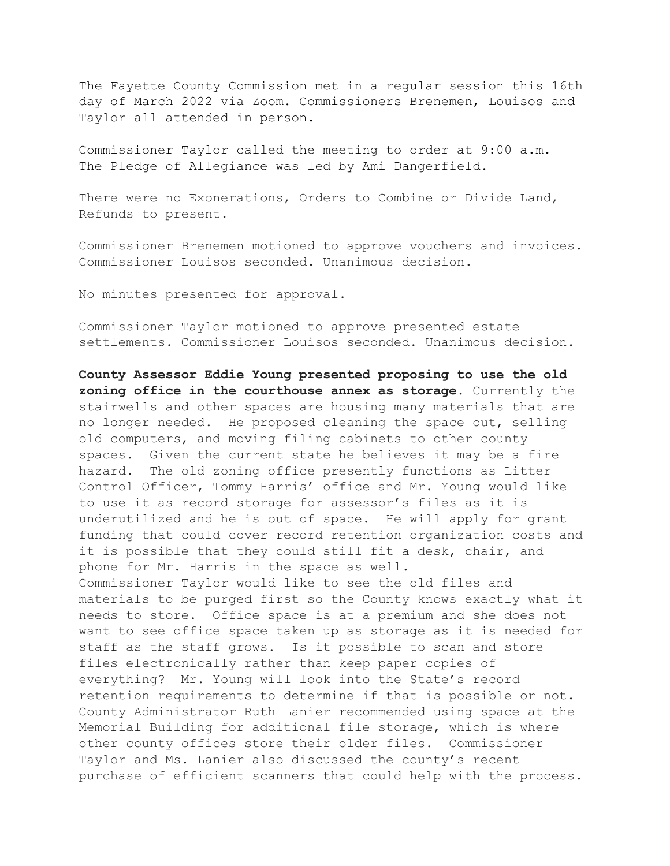The Fayette County Commission met in a regular session this 16th day of March 2022 via Zoom. Commissioners Brenemen, Louisos and Taylor all attended in person.

Commissioner Taylor called the meeting to order at 9:00 a.m. The Pledge of Allegiance was led by Ami Dangerfield.

There were no Exonerations, Orders to Combine or Divide Land, Refunds to present.

Commissioner Brenemen motioned to approve vouchers and invoices. Commissioner Louisos seconded. Unanimous decision.

No minutes presented for approval.

Commissioner Taylor motioned to approve presented estate settlements. Commissioner Louisos seconded. Unanimous decision.

**County Assessor Eddie Young presented proposing to use the old zoning office in the courthouse annex as storage.** Currently the stairwells and other spaces are housing many materials that are no longer needed. He proposed cleaning the space out, selling old computers, and moving filing cabinets to other county spaces. Given the current state he believes it may be a fire hazard. The old zoning office presently functions as Litter Control Officer, Tommy Harris' office and Mr. Young would like to use it as record storage for assessor's files as it is underutilized and he is out of space. He will apply for grant funding that could cover record retention organization costs and it is possible that they could still fit a desk, chair, and phone for Mr. Harris in the space as well. Commissioner Taylor would like to see the old files and materials to be purged first so the County knows exactly what it needs to store. Office space is at a premium and she does not want to see office space taken up as storage as it is needed for staff as the staff grows. Is it possible to scan and store files electronically rather than keep paper copies of everything? Mr. Young will look into the State's record retention requirements to determine if that is possible or not. County Administrator Ruth Lanier recommended using space at the Memorial Building for additional file storage, which is where other county offices store their older files. Commissioner Taylor and Ms. Lanier also discussed the county's recent purchase of efficient scanners that could help with the process.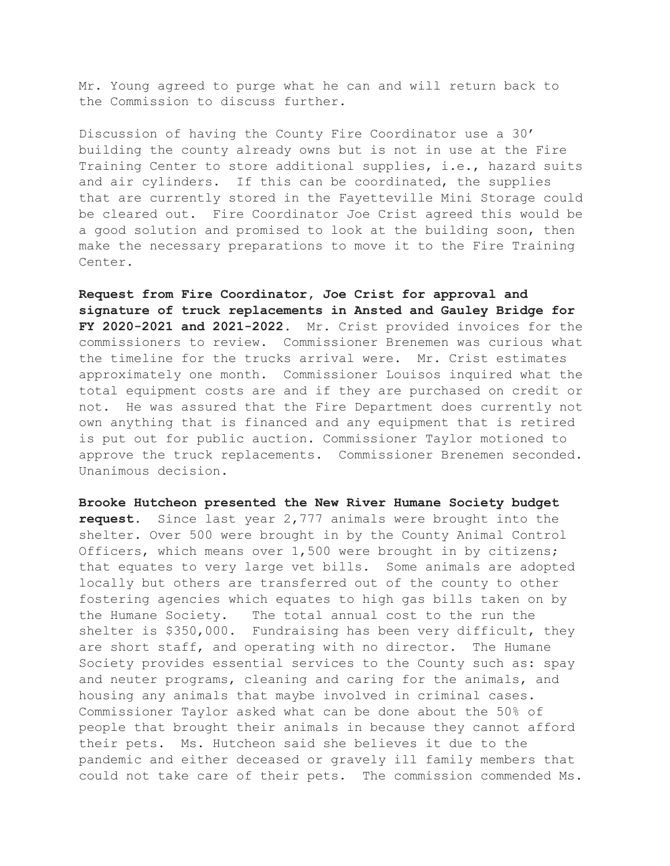Mr. Young agreed to purge what he can and will return back to the Commission to discuss further.

Discussion of having the County Fire Coordinator use a 30' building the county already owns but is not in use at the Fire Training Center to store additional supplies, i.e., hazard suits and air cylinders. If this can be coordinated, the supplies that are currently stored in the Fayetteville Mini Storage could be cleared out. Fire Coordinator Joe Crist agreed this would be a good solution and promised to look at the building soon, then make the necessary preparations to move it to the Fire Training Center.

**Request from Fire Coordinator, Joe Crist for approval and signature of truck replacements in Ansted and Gauley Bridge for FY 2020-2021 and 2021-2022.** Mr. Crist provided invoices for the commissioners to review. Commissioner Brenemen was curious what the timeline for the trucks arrival were. Mr. Crist estimates approximately one month. Commissioner Louisos inquired what the total equipment costs are and if they are purchased on credit or not. He was assured that the Fire Department does currently not own anything that is financed and any equipment that is retired is put out for public auction. Commissioner Taylor motioned to approve the truck replacements. Commissioner Brenemen seconded. Unanimous decision.

**Brooke Hutcheon presented the New River Humane Society budget request.** Since last year 2,777 animals were brought into the shelter. Over 500 were brought in by the County Animal Control Officers, which means over 1,500 were brought in by citizens; that equates to very large vet bills. Some animals are adopted locally but others are transferred out of the county to other fostering agencies which equates to high gas bills taken on by the Humane Society. The total annual cost to the run the shelter is \$350,000. Fundraising has been very difficult, they are short staff, and operating with no director. The Humane Society provides essential services to the County such as: spay and neuter programs, cleaning and caring for the animals, and housing any animals that maybe involved in criminal cases. Commissioner Taylor asked what can be done about the 50% of people that brought their animals in because they cannot afford their pets. Ms. Hutcheon said she believes it due to the pandemic and either deceased or gravely ill family members that could not take care of their pets. The commission commended Ms.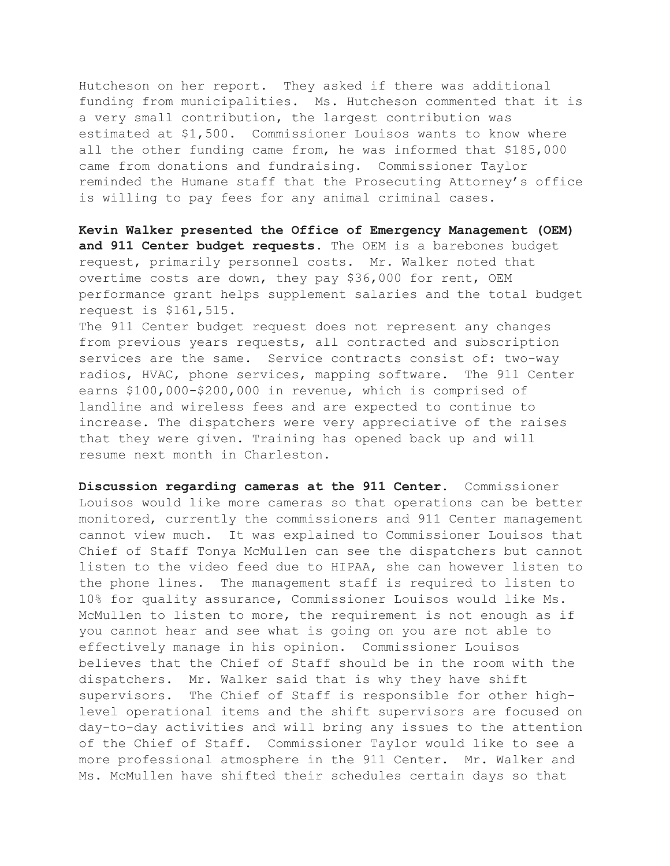Hutcheson on her report. They asked if there was additional funding from municipalities. Ms. Hutcheson commented that it is a very small contribution, the largest contribution was estimated at \$1,500. Commissioner Louisos wants to know where all the other funding came from, he was informed that \$185,000 came from donations and fundraising. Commissioner Taylor reminded the Humane staff that the Prosecuting Attorney's office is willing to pay fees for any animal criminal cases.

**Kevin Walker presented the Office of Emergency Management (OEM) and 911 Center budget requests.** The OEM is a barebones budget request, primarily personnel costs. Mr. Walker noted that overtime costs are down, they pay \$36,000 for rent, OEM performance grant helps supplement salaries and the total budget request is \$161,515.

The 911 Center budget request does not represent any changes from previous years requests, all contracted and subscription services are the same. Service contracts consist of: two-way radios, HVAC, phone services, mapping software. The 911 Center earns \$100,000-\$200,000 in revenue, which is comprised of landline and wireless fees and are expected to continue to increase. The dispatchers were very appreciative of the raises that they were given. Training has opened back up and will resume next month in Charleston.

**Discussion regarding cameras at the 911 Center.** Commissioner Louisos would like more cameras so that operations can be better monitored, currently the commissioners and 911 Center management cannot view much. It was explained to Commissioner Louisos that Chief of Staff Tonya McMullen can see the dispatchers but cannot listen to the video feed due to HIPAA, she can however listen to the phone lines. The management staff is required to listen to 10% for quality assurance, Commissioner Louisos would like Ms. McMullen to listen to more, the requirement is not enough as if you cannot hear and see what is going on you are not able to effectively manage in his opinion. Commissioner Louisos believes that the Chief of Staff should be in the room with the dispatchers. Mr. Walker said that is why they have shift supervisors. The Chief of Staff is responsible for other highlevel operational items and the shift supervisors are focused on day-to-day activities and will bring any issues to the attention of the Chief of Staff. Commissioner Taylor would like to see a more professional atmosphere in the 911 Center. Mr. Walker and Ms. McMullen have shifted their schedules certain days so that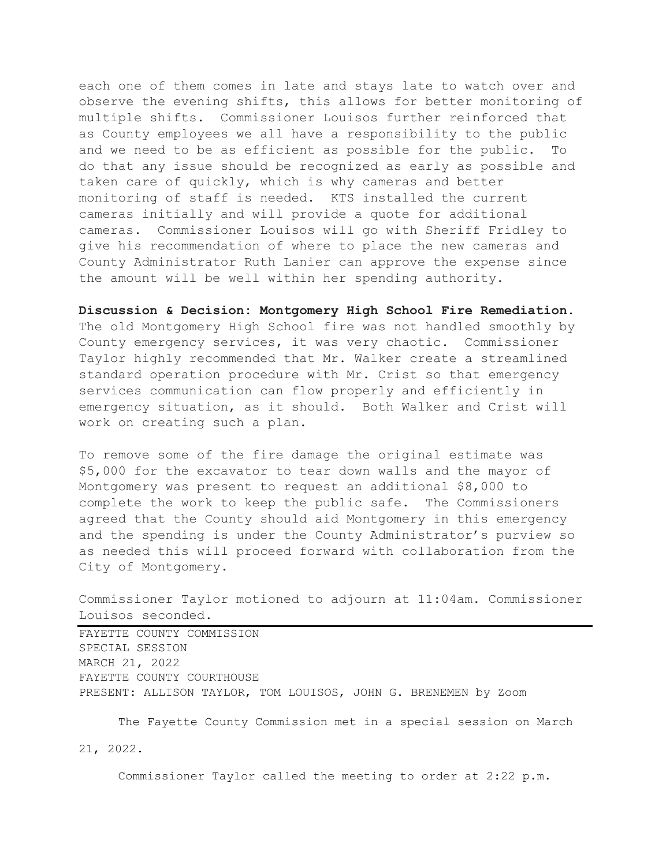each one of them comes in late and stays late to watch over and observe the evening shifts, this allows for better monitoring of multiple shifts. Commissioner Louisos further reinforced that as County employees we all have a responsibility to the public and we need to be as efficient as possible for the public. To do that any issue should be recognized as early as possible and taken care of quickly, which is why cameras and better monitoring of staff is needed. KTS installed the current cameras initially and will provide a quote for additional cameras. Commissioner Louisos will go with Sheriff Fridley to give his recommendation of where to place the new cameras and County Administrator Ruth Lanier can approve the expense since the amount will be well within her spending authority.

**Discussion & Decision: Montgomery High School Fire Remediation.** The old Montgomery High School fire was not handled smoothly by County emergency services, it was very chaotic. Commissioner Taylor highly recommended that Mr. Walker create a streamlined standard operation procedure with Mr. Crist so that emergency services communication can flow properly and efficiently in emergency situation, as it should. Both Walker and Crist will work on creating such a plan.

To remove some of the fire damage the original estimate was \$5,000 for the excavator to tear down walls and the mayor of Montgomery was present to request an additional \$8,000 to complete the work to keep the public safe. The Commissioners agreed that the County should aid Montgomery in this emergency and the spending is under the County Administrator's purview so as needed this will proceed forward with collaboration from the City of Montgomery.

Commissioner Taylor motioned to adjourn at 11:04am. Commissioner Louisos seconded.

FAYETTE COUNTY COMMISSION SPECIAL SESSION MARCH 21, 2022 FAYETTE COUNTY COURTHOUSE PRESENT: ALLISON TAYLOR, TOM LOUISOS, JOHN G. BRENEMEN by Zoom

The Fayette County Commission met in a special session on March

21, 2022.

Commissioner Taylor called the meeting to order at 2:22 p.m.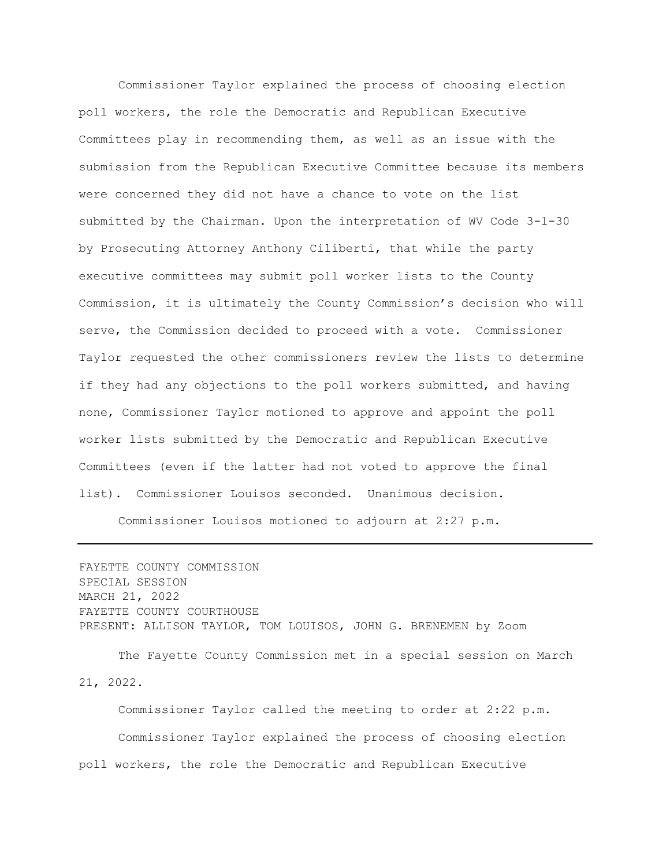Commissioner Taylor explained the process of choosing election poll workers, the role the Democratic and Republican Executive Committees play in recommending them, as well as an issue with the submission from the Republican Executive Committee because its members were concerned they did not have a chance to vote on the list submitted by the Chairman. Upon the interpretation of WV Code 3-1-30 by Prosecuting Attorney Anthony Ciliberti, that while the party executive committees may submit poll worker lists to the County Commission, it is ultimately the County Commission's decision who will serve, the Commission decided to proceed with a vote. Commissioner Taylor requested the other commissioners review the lists to determine if they had any objections to the poll workers submitted, and having none, Commissioner Taylor motioned to approve and appoint the poll worker lists submitted by the Democratic and Republican Executive Committees (even if the latter had not voted to approve the final list). Commissioner Louisos seconded. Unanimous decision.

Commissioner Louisos motioned to adjourn at 2:27 p.m.

FAYETTE COUNTY COMMISSION SPECIAL SESSION MARCH 21, 2022 FAYETTE COUNTY COURTHOUSE PRESENT: ALLISON TAYLOR, TOM LOUISOS, JOHN G. BRENEMEN by Zoom

The Fayette County Commission met in a special session on March 21, 2022.

Commissioner Taylor called the meeting to order at 2:22 p.m. Commissioner Taylor explained the process of choosing election poll workers, the role the Democratic and Republican Executive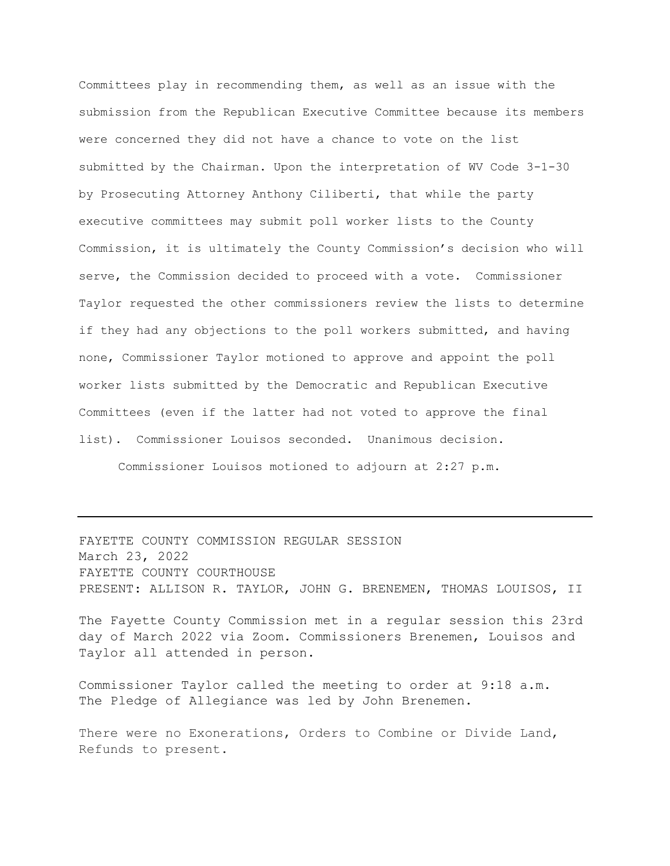Committees play in recommending them, as well as an issue with the submission from the Republican Executive Committee because its members were concerned they did not have a chance to vote on the list submitted by the Chairman. Upon the interpretation of WV Code 3-1-30 by Prosecuting Attorney Anthony Ciliberti, that while the party executive committees may submit poll worker lists to the County Commission, it is ultimately the County Commission's decision who will serve, the Commission decided to proceed with a vote. Commissioner Taylor requested the other commissioners review the lists to determine if they had any objections to the poll workers submitted, and having none, Commissioner Taylor motioned to approve and appoint the poll worker lists submitted by the Democratic and Republican Executive Committees (even if the latter had not voted to approve the final list). Commissioner Louisos seconded. Unanimous decision.

Commissioner Louisos motioned to adjourn at 2:27 p.m.

FAYETTE COUNTY COMMISSION REGULAR SESSION March 23, 2022 FAYETTE COUNTY COURTHOUSE PRESENT: ALLISON R. TAYLOR, JOHN G. BRENEMEN, THOMAS LOUISOS, II

The Fayette County Commission met in a regular session this 23rd day of March 2022 via Zoom. Commissioners Brenemen, Louisos and Taylor all attended in person.

Commissioner Taylor called the meeting to order at 9:18 a.m. The Pledge of Allegiance was led by John Brenemen.

There were no Exonerations, Orders to Combine or Divide Land, Refunds to present.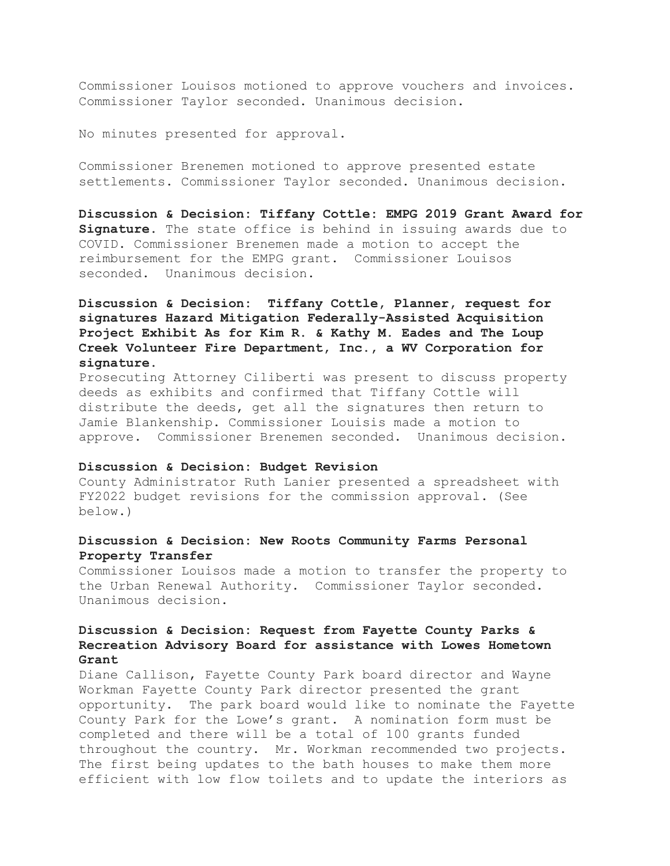Commissioner Louisos motioned to approve vouchers and invoices. Commissioner Taylor seconded. Unanimous decision.

No minutes presented for approval.

Commissioner Brenemen motioned to approve presented estate settlements. Commissioner Taylor seconded. Unanimous decision.

**Discussion & Decision: Tiffany Cottle: EMPG 2019 Grant Award for Signature.** The state office is behind in issuing awards due to COVID. Commissioner Brenemen made a motion to accept the reimbursement for the EMPG grant. Commissioner Louisos seconded. Unanimous decision.

# **Discussion & Decision: Tiffany Cottle, Planner, request for signatures Hazard Mitigation Federally-Assisted Acquisition Project Exhibit As for Kim R. & Kathy M. Eades and The Loup Creek Volunteer Fire Department, Inc., a WV Corporation for signature.**

Prosecuting Attorney Ciliberti was present to discuss property deeds as exhibits and confirmed that Tiffany Cottle will distribute the deeds, get all the signatures then return to Jamie Blankenship. Commissioner Louisis made a motion to approve. Commissioner Brenemen seconded. Unanimous decision.

### **Discussion & Decision: Budget Revision**

County Administrator Ruth Lanier presented a spreadsheet with FY2022 budget revisions for the commission approval. (See below.)

## **Discussion & Decision: New Roots Community Farms Personal Property Transfer**

Commissioner Louisos made a motion to transfer the property to the Urban Renewal Authority. Commissioner Taylor seconded. Unanimous decision.

# **Discussion & Decision: Request from Fayette County Parks & Recreation Advisory Board for assistance with Lowes Hometown Grant**

Diane Callison, Fayette County Park board director and Wayne Workman Fayette County Park director presented the grant opportunity. The park board would like to nominate the Fayette County Park for the Lowe's grant. A nomination form must be completed and there will be a total of 100 grants funded throughout the country. Mr. Workman recommended two projects. The first being updates to the bath houses to make them more efficient with low flow toilets and to update the interiors as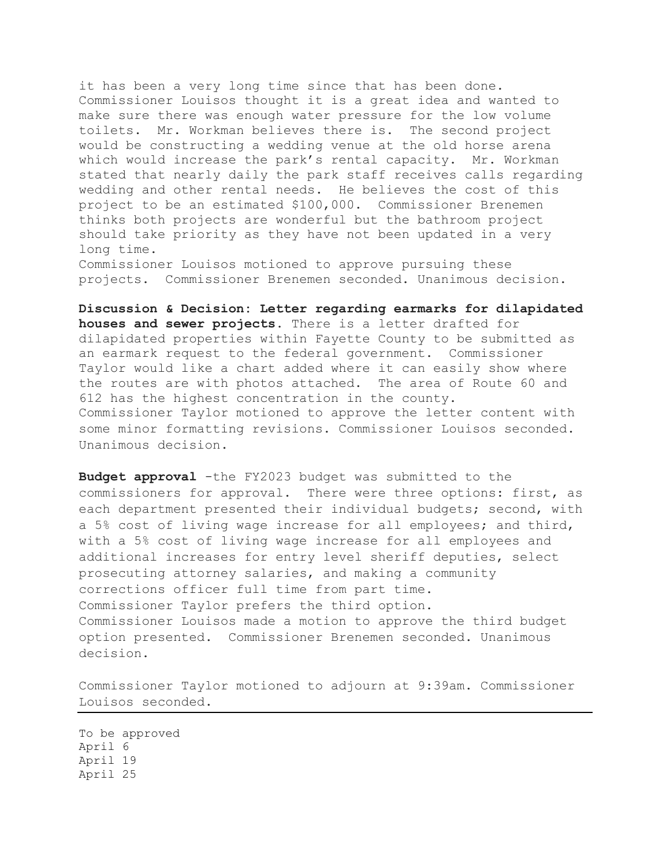it has been a very long time since that has been done. Commissioner Louisos thought it is a great idea and wanted to make sure there was enough water pressure for the low volume toilets. Mr. Workman believes there is. The second project would be constructing a wedding venue at the old horse arena which would increase the park's rental capacity. Mr. Workman stated that nearly daily the park staff receives calls regarding wedding and other rental needs. He believes the cost of this project to be an estimated \$100,000. Commissioner Brenemen thinks both projects are wonderful but the bathroom project should take priority as they have not been updated in a very long time.

Commissioner Louisos motioned to approve pursuing these projects. Commissioner Brenemen seconded. Unanimous decision.

**Discussion & Decision: Letter regarding earmarks for dilapidated houses and sewer projects.** There is a letter drafted for dilapidated properties within Fayette County to be submitted as an earmark request to the federal government. Commissioner Taylor would like a chart added where it can easily show where the routes are with photos attached. The area of Route 60 and 612 has the highest concentration in the county. Commissioner Taylor motioned to approve the letter content with some minor formatting revisions. Commissioner Louisos seconded. Unanimous decision.

**Budget approval** -the FY2023 budget was submitted to the commissioners for approval. There were three options: first, as each department presented their individual budgets; second, with a 5% cost of living wage increase for all employees; and third, with a 5% cost of living wage increase for all employees and additional increases for entry level sheriff deputies, select prosecuting attorney salaries, and making a community corrections officer full time from part time. Commissioner Taylor prefers the third option. Commissioner Louisos made a motion to approve the third budget option presented. Commissioner Brenemen seconded. Unanimous decision.

Commissioner Taylor motioned to adjourn at 9:39am. Commissioner Louisos seconded.

To be approved April 6 April 19 April 25